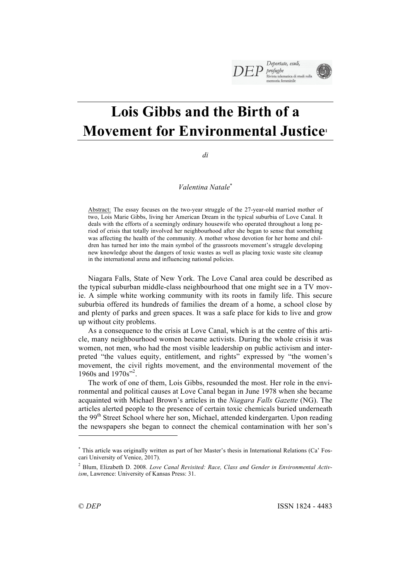# **Lois Gibbs and the Birth of a Movement for Environmental Justice**<sup>1</sup>

*di*

*Valentina Natale*\*

Abstract: The essay focuses on the two-year struggle of the 27-year-old married mother of two, Lois Marie Gibbs, living her American Dream in the typical suburbia of Love Canal. It deals with the efforts of a seemingly ordinary housewife who operated throughout a long period of crisis that totally involved her neighbourhood after she began to sense that something was affecting the health of the community. A mother whose devotion for her home and children has turned her into the main symbol of the grassroots movement's struggle developing new knowledge about the dangers of toxic wastes as well as placing toxic waste site cleanup in the international arena and influencing national policies.

Niagara Falls, State of New York. The Love Canal area could be described as the typical suburban middle-class neighbourhood that one might see in a TV movie. A simple white working community with its roots in family life. This secure suburbia offered its hundreds of families the dream of a home, a school close by and plenty of parks and green spaces. It was a safe place for kids to live and grow up without city problems.

As a consequence to the crisis at Love Canal, which is at the centre of this article, many neighbourhood women became activists. During the whole crisis it was women, not men, who had the most visible leadership on public activism and interpreted "the values equity, entitlement, and rights" expressed by "the women's movement, the civil rights movement, and the environmental movement of the 1960s and 1970s"<sup>2</sup>.

The work of one of them, Lois Gibbs, resounded the most. Her role in the environmental and political causes at Love Canal began in June 1978 when she became acquainted with Michael Brown's articles in the *Niagara Falls Gazette* (NG). The articles alerted people to the presence of certain toxic chemicals buried underneath the 99<sup>th</sup> Street School where her son, Michael, attended kindergarten. Upon reading the newspapers she began to connect the chemical contamination with her son's

l

<sup>\*</sup> This article was originally written as part of her Master's thesis in International Relations (Ca' Foscari University of Venice, 2017).

<sup>2</sup> Blum, Elizabeth D. 2008. *Love Canal Revisited: Race, Class and Gender in Environmental Activism*, Lawrence: University of Kansas Press: 31.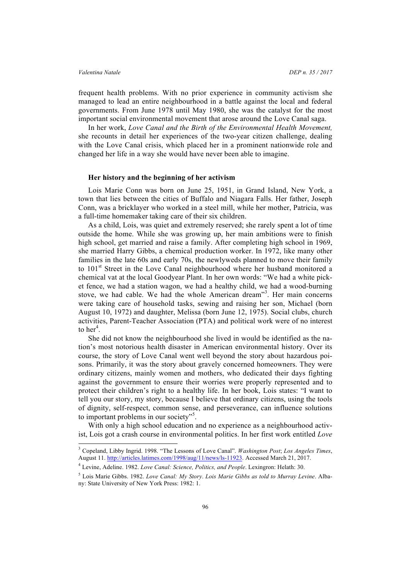frequent health problems. With no prior experience in community activism she managed to lead an entire neighbourhood in a battle against the local and federal governments. From June 1978 until May 1980, she was the catalyst for the most important social environmental movement that arose around the Love Canal saga.

In her work, *Love Canal and the Birth of the Environmental Health Movement,*  she recounts in detail her experiences of the two-year citizen challenge, dealing with the Love Canal crisis, which placed her in a prominent nationwide role and changed her life in a way she would have never been able to imagine.

### **Her history and the beginning of her activism**

Lois Marie Conn was born on June 25, 1951, in Grand Island, New York, a town that lies between the cities of Buffalo and Niagara Falls. Her father, Joseph Conn, was a bricklayer who worked in a steel mill, while her mother, Patricia, was a full-time homemaker taking care of their six children.

As a child, Lois, was quiet and extremely reserved; she rarely spent a lot of time outside the home. While she was growing up, her main ambitions were to finish high school, get married and raise a family. After completing high school in 1969, she married Harry Gibbs, a chemical production worker. In 1972, like many other families in the late 60s and early 70s, the newlyweds planned to move their family to 101<sup>st</sup> Street in the Love Canal neighbourhood where her husband monitored a chemical vat at the local Goodyear Plant. In her own words: "We had a white picket fence, we had a station wagon, we had a healthy child, we had a wood-burning stove, we had cable. We had the whole American dream" 3 . Her main concerns were taking care of household tasks, sewing and raising her son, Michael (born August 10, 1972) and daughter, Melissa (born June 12, 1975). Social clubs, church activities, Parent-Teacher Association (PTA) and political work were of no interest to her<sup>4</sup>.

She did not know the neighbourhood she lived in would be identified as the nation's most notorious health disaster in American environmental history. Over its course, the story of Love Canal went well beyond the story about hazardous poisons. Primarily, it was the story about gravely concerned homeowners. They were ordinary citizens, mainly women and mothers, who dedicated their days fighting against the government to ensure their worries were properly represented and to protect their children's right to a healthy life. In her book, Lois states: "I want to tell you our story, my story, because I believe that ordinary citizens, using the tools of dignity, self-respect, common sense, and perseverance, can influence solutions to important problems in our society"<sup>5</sup>.

With only a high school education and no experience as a neighbourhood activist, Lois got a crash course in environmental politics. In her first work entitled *Love* 

 <sup>3</sup> Copeland, Libby Ingrid. 1998. "The Lessons of Love Canal". *Washington Post*; *Los Angeles Times*, August 11. http://articles.latimes.com/1998/aug/11/news/ls-11923. Accessed March 21, 2017.

<sup>4</sup> Levine, Adeline. 1982. *Love Canal: Science, Politics, and People*. Lexingron: Helath: 30.

<sup>5</sup> Lois Marie Gibbs. 1982. *Love Canal: My Story*. *Lois Marie Gibbs as told to Murray Levine*. Albany: State University of New York Press: 1982: 1.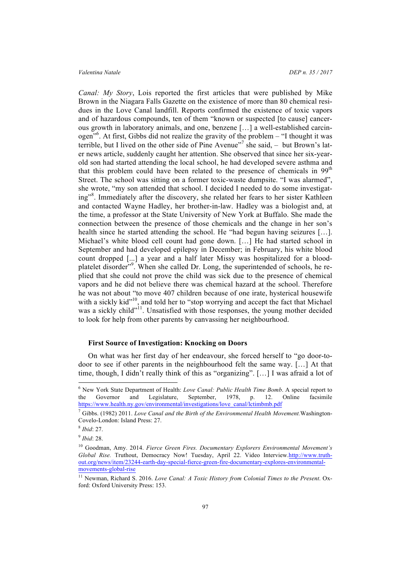*Canal: My Story*, Lois reported the first articles that were published by Mike Brown in the Niagara Falls Gazette on the existence of more than 80 chemical residues in the Love Canal landfill. Reports confirmed the existence of toxic vapors and of hazardous compounds, ten of them "known or suspected [to cause] cancerous growth in laboratory animals, and one, benzene […] a well-established carcinogen<sup>"6</sup>. At first, Gibbs did not realize the gravity of the problem – "I thought it was terrible, but I lived on the other side of Pine Avenue"<sup>7</sup> she said, - but Brown's later news article, suddenly caught her attention. She observed that since her six-yearold son had started attending the local school, he had developed severe asthma and that this problem could have been related to the presence of chemicals in  $99<sup>th</sup>$ Street. The school was sitting on a former toxic-waste dumpsite. "I was alarmed", she wrote, "my son attended that school. I decided I needed to do some investigating"<sup>8</sup>. Immediately after the discovery, she related her fears to her sister Kathleen and contacted Wayne Hadley, her brother-in-law. Hadley was a biologist and, at the time, a professor at the State University of New York at Buffalo. She made the connection between the presence of those chemicals and the change in her son's health since he started attending the school. He "had begun having seizures […]. Michael's white blood cell count had gone down. […] He had started school in September and had developed epilepsy in December; in February, his white blood count dropped [...] a year and a half later Missy was hospitalized for a bloodplatelet disorder"<sup>9</sup>. When she called Dr. Long, the superintended of schools, he replied that she could not prove the child was sick due to the presence of chemical vapors and he did not believe there was chemical hazard at the school. Therefore he was not about "to move 407 children because of one irate, hysterical housewife with a sickly kid"<sup>10</sup>, and told her to "stop worrying and accept the fact that Michael was a sickly child"<sup>11</sup>. Unsatisfied with those responses, the young mother decided to look for help from other parents by canvassing her neighbourhood.

# **First Source of Investigation: Knocking on Doors**

On what was her first day of her endeavour, she forced herself to "go door-todoor to see if other parents in the neighbourhood felt the same way. […] At that time, though, I didn't really think of this as "organizing". […] I was afraid a lot of

 <sup>6</sup> New York State Department of Health: *Love Canal: Public Health Time Bomb*. A special report to the Governor and Legislature, September, 1978, p. 12. Online facsimile https://www.health.ny.gov/environmental/investigations/love\_canal/lctimbmb.pdf

<sup>7</sup> Gibbs. (1982) 2011. *Love Canal and the Birth of the Environmental Health Movement.*Washington-Covelo-London: Island Press: 27.

<sup>8</sup> *Ibid*: 27.

<sup>9</sup> *Ibid*: 28.

<sup>10</sup> Goodman, Amy. 2014. *Fierce Green Fires. Documentary Explorers Environmental Movement's Global Rise.* Truthout, Democracy Now! Tuesday, April 22. Video Interview.http://www.truthout.org/news/item/23244-earth-day-special-fierce-green-fire-documentary-explores-environmentalmovements-global-rise

<sup>11</sup> Newman, Richard S. 2016. *Love Canal: A Toxic History from Colonial Times to the Present*. Oxford: Oxford University Press: 153.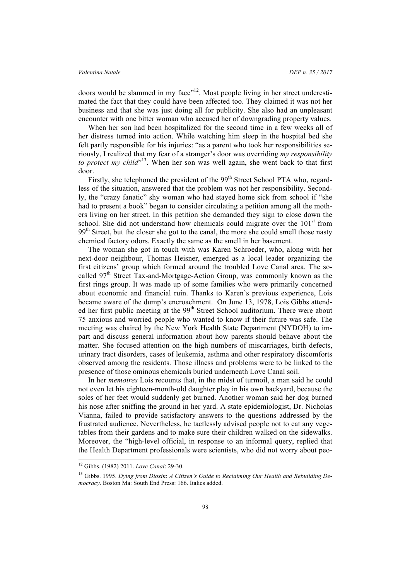doors would be slammed in my face"12. Most people living in her street underestimated the fact that they could have been affected too. They claimed it was not her business and that she was just doing all for publicity. She also had an unpleasant encounter with one bitter woman who accused her of downgrading property values.

When her son had been hospitalized for the second time in a few weeks all of her distress turned into action. While watching him sleep in the hospital bed she felt partly responsible for his injuries: "as a parent who took her responsibilities seriously, I realized that my fear of a stranger's door was overriding *my responsibility*  to protect my child"<sup>13</sup>. When her son was well again, she went back to that first door.

Firstly, she telephoned the president of the 99<sup>th</sup> Street School PTA who, regardless of the situation, answered that the problem was not her responsibility. Secondly, the "crazy fanatic" shy woman who had stayed home sick from school if "she had to present a book" began to consider circulating a petition among all the mothers living on her street. In this petition she demanded they sign to close down the school. She did not understand how chemicals could migrate over the  $101<sup>st</sup>$  from 99<sup>th</sup> Street, but the closer she got to the canal, the more she could smell those nasty chemical factory odors. Exactly the same as the smell in her basement.

The woman she got in touch with was Karen Schroeder, who, along with her next-door neighbour, Thomas Heisner, emerged as a local leader organizing the first citizens' group which formed around the troubled Love Canal area. The socalled  $97<sup>th</sup>$  Street Tax-and-Mortgage-Action Group, was commonly known as the first rings group. It was made up of some families who were primarily concerned about economic and financial ruin. Thanks to Karen's previous experience, Lois became aware of the dump's encroachment. On June 13, 1978, Lois Gibbs attended her first public meeting at the 99<sup>th</sup> Street School auditorium. There were about 75 anxious and worried people who wanted to know if their future was safe. The meeting was chaired by the New York Health State Department (NYDOH) to impart and discuss general information about how parents should behave about the matter. She focused attention on the high numbers of miscarriages, birth defects, urinary tract disorders, cases of leukemia, asthma and other respiratory discomforts observed among the residents. Those illness and problems were to be linked to the presence of those ominous chemicals buried underneath Love Canal soil.

In her *memoires* Lois recounts that, in the midst of turmoil, a man said he could not even let his eighteen-month-old daughter play in his own backyard, because the soles of her feet would suddenly get burned. Another woman said her dog burned his nose after sniffing the ground in her yard. A state epidemiologist, Dr. Nicholas Vianna, failed to provide satisfactory answers to the questions addressed by the frustrated audience. Nevertheless, he tactlessly advised people not to eat any vegetables from their gardens and to make sure their children walked on the sidewalks. Moreover, the "high-level official, in response to an informal query, replied that the Health Department professionals were scientists, who did not worry about peo-

 <sup>12</sup> Gibbs. (1982) 2011. *Love Canal*: 29-30.

<sup>13</sup> Gibbs. 1995. *Dying from Dioxin*: *A Citizen's Guide to Reclaiming Our Health and Rebuilding Democracy*. Boston Ma: South End Press: 166. Italics added.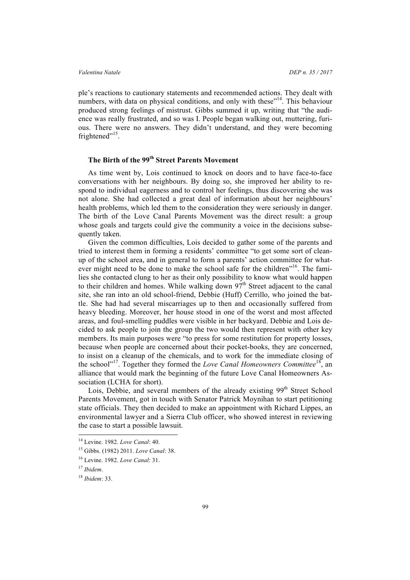ple's reactions to cautionary statements and recommended actions. They dealt with numbers, with data on physical conditions, and only with these"<sup>14</sup>. This behaviour produced strong feelings of mistrust. Gibbs summed it up, writing that "the audience was really frustrated, and so was I. People began walking out, muttering, furious. There were no answers. They didn't understand, and they were becoming frightened"<sup>15</sup>.

# **The Birth of the 99th Street Parents Movement**

As time went by, Lois continued to knock on doors and to have face-to-face conversations with her neighbours. By doing so, she improved her ability to respond to individual eagerness and to control her feelings, thus discovering she was not alone. She had collected a great deal of information about her neighbours' health problems, which led them to the consideration they were seriously in danger. The birth of the Love Canal Parents Movement was the direct result: a group whose goals and targets could give the community a voice in the decisions subsequently taken.

Given the common difficulties, Lois decided to gather some of the parents and tried to interest them in forming a residents' committee "to get some sort of cleanup of the school area, and in general to form a parents' action committee for whatever might need to be done to make the school safe for the children"<sup>16</sup>. The families she contacted clung to her as their only possibility to know what would happen to their children and homes. While walking down 97<sup>th</sup> Street adjacent to the canal site, she ran into an old school-friend, Debbie (Huff) Cerrillo, who joined the battle. She had had several miscarriages up to then and occasionally suffered from heavy bleeding. Moreover, her house stood in one of the worst and most affected areas, and foul-smelling puddles were visible in her backyard. Debbie and Lois decided to ask people to join the group the two would then represent with other key members. Its main purposes were "to press for some restitution for property losses, because when people are concerned about their pocket-books, they are concerned, to insist on a cleanup of the chemicals, and to work for the immediate closing of the school"<sup>17</sup>. Together they formed the *Love Canal Homeowners Committee*<sup>18</sup>, an alliance that would mark the beginning of the future Love Canal Homeowners Association (LCHA for short).

Lois, Debbie, and several members of the already existing  $99<sup>th</sup>$  Street School Parents Movement, got in touch with Senator Patrick Moynihan to start petitioning state officials. They then decided to make an appointment with Richard Lippes, an environmental lawyer and a Sierra Club officer, who showed interest in reviewing the case to start a possible lawsuit.

 <sup>14</sup> Levine. 1982. *Love Canal*: 40.

<sup>15</sup> Gibbs. (1982) 2011. *Love Canal*: 38.

<sup>16</sup> Levine. 1982. *Love Canal*: 31.

<sup>17</sup> *Ibidem*.

<sup>18</sup> *Ibidem*: 33.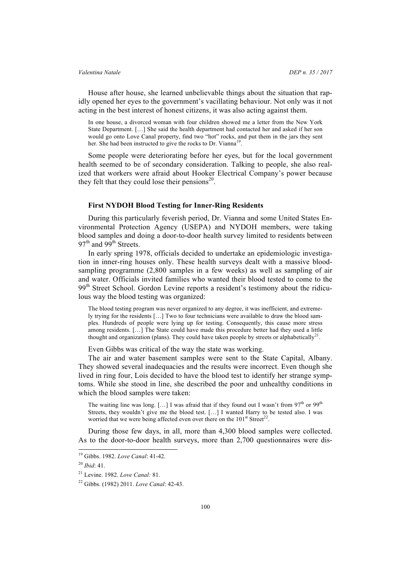House after house, she learned unbelievable things about the situation that rapidly opened her eyes to the government's vacillating behaviour. Not only was it not acting in the best interest of honest citizens, it was also acting against them.

In one house, a divorced woman with four children showed me a letter from the New York State Department. […] She said the health department had contacted her and asked if her son would go onto Love Canal property, find two "hot" rocks, and put them in the jars they sent her. She had been instructed to give the rocks to Dr. Vianna<sup>19</sup>.

Some people were deteriorating before her eyes, but for the local government health seemed to be of secondary consideration. Talking to people, she also realized that workers were afraid about Hooker Electrical Company's power because they felt that they could lose their pensions $^{20}$ .

### **First NYDOH Blood Testing for Inner-Ring Residents**

During this particularly feverish period, Dr. Vianna and some United States Environmental Protection Agency (USEPA) and NYDOH members, were taking blood samples and doing a door-to-door health survey limited to residents between  $97<sup>th</sup>$  and  $99<sup>th</sup>$  Streets.

In early spring 1978, officials decided to undertake an epidemiologic investigation in inner-ring houses only. These health surveys dealt with a massive bloodsampling programme (2,800 samples in a few weeks) as well as sampling of air and water. Officials invited families who wanted their blood tested to come to the 99<sup>th</sup> Street School. Gordon Levine reports a resident's testimony about the ridiculous way the blood testing was organized:

The blood testing program was never organized to any degree, it was inefficient, and extremely trying for the residents […] Two to four technicians were available to draw the blood samples. Hundreds of people were lying up for testing. Consequently, this cause more stress among residents. […] The State could have made this procedure better had they used a little thought and organization (plans). They could have taken people by streets or alphabetically<sup>21</sup>.

Even Gibbs was critical of the way the state was working.

The air and water basement samples were sent to the State Capital, Albany. They showed several inadequacies and the results were incorrect. Even though she lived in ring four, Lois decided to have the blood test to identify her strange symptoms. While she stood in line, she described the poor and unhealthy conditions in which the blood samples were taken:

The waiting line was long. [...] I was afraid that if they found out I wasn't from  $97<sup>th</sup>$  or  $99<sup>th</sup>$ Streets, they wouldn't give me the blood test. […] I wanted Harry to be tested also. I was worried that we were being affected even over there on the  $101<sup>st</sup> Street<sup>22</sup>$ .

During those few days, in all, more than 4,300 blood samples were collected. As to the door-to-door health surveys, more than 2,700 questionnaires were dis-

 <sup>19</sup> Gibbs. 1982. *Love Canal*: 41-42.

<sup>20</sup> *Ibid*: 41.

<sup>21</sup> Levine. 1982. *Love Canal:* 81.

<sup>22</sup> Gibbs. (1982) 2011. *Love Canal*: 42-43.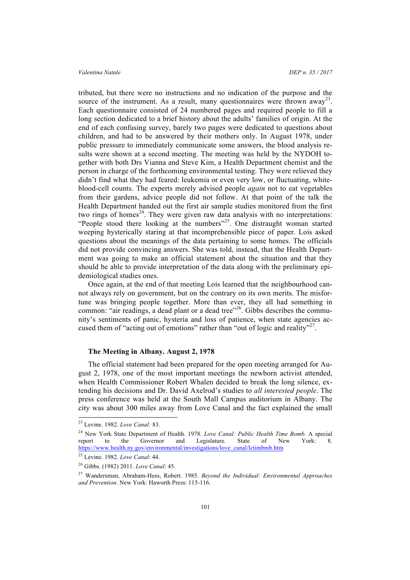tributed, but there were no instructions and no indication of the purpose and the source of the instrument. As a result, many questionnaires were thrown away<sup>23</sup>. Each questionnaire consisted of 24 numbered pages and required people to fill a long section dedicated to a brief history about the adults' families of origin. At the end of each confusing survey, barely two pages were dedicated to questions about children, and had to be answered by their mothers only. In August 1978, under public pressure to immediately communicate some answers, the blood analysis results were shown at a second meeting. The meeting was held by the NYDOH together with both Drs Vianna and Steve Kim, a Health Department chemist and the person in charge of the forthcoming environmental testing. They were relieved they didn't find what they had feared: leukemia or even very low, or fluctuating, whiteblood-cell counts. The experts merely advised people *again* not to eat vegetables from their gardens, advice people did not follow. At that point of the talk the Health Department handed out the first air sample studies monitored from the first two rings of homes<sup>24</sup>. They were given raw data analysis with no interpretations: "People stood there looking at the numbers"<sup>25</sup>. One distraught woman started weeping hysterically staring at that incomprehensible piece of paper. Lois asked questions about the meanings of the data pertaining to some homes. The officials did not provide convincing answers. She was told, instead, that the Health Department was going to make an official statement about the situation and that they should be able to provide interpretation of the data along with the preliminary epidemiological studies ones.

Once again, at the end of that meeting Lois learned that the neighbourhood cannot always rely on government, but on the contrary on its own merits. The misfortune was bringing people together. More than ever, they all had something in common: "air readings, a dead plant or a dead tree"<sup>26</sup>. Gibbs describes the community's sentiments of panic, hysteria and loss of patience, when state agencies accused them of "acting out of emotions" rather than "out of logic and reality"<sup>27</sup>.

### **The Meeting in Albany. August 2, 1978**

The official statement had been prepared for the open meeting arranged for August 2, 1978, one of the most important meetings the newborn activist attended, when Health Commissioner Robert Whalen decided to break the long silence, extending his decisions and Dr. David Axelrod's studies to *all interested people*. The press conference was held at the South Mall Campus auditorium in Albany. The city was about 300 miles away from Love Canal and the fact explained the small

 <sup>23</sup> Levine. 1982. *Love Canal:* 83.

<sup>24</sup> New York State Department of Health. 1978. *Love Canal: Public Health Time Bomb*. A special report to the Governor and Legislature. State of New York: 8. https://www.health.ny.gov/environmental/investigations/love\_canal/lctimbmb.htm

<sup>25</sup> Levine. 1982. *Love Canal*: 44.

<sup>26</sup> Gibbs. (1982) 2011. *Love Canal*: 45.

<sup>27</sup> Wandersman, Abraham-Hess, Robert. 1985. *Beyond the Individual: Environmental Approaches and Prevention*. New York: Haworth Press: 115-116.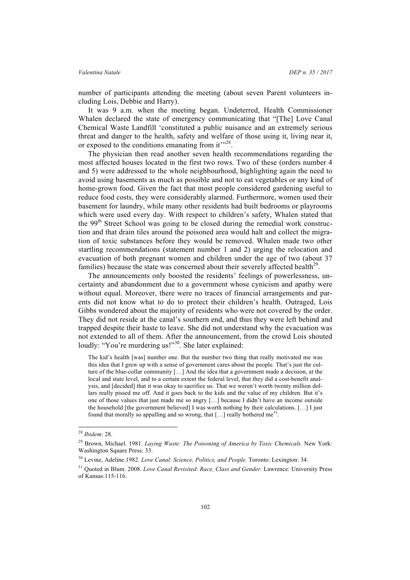number of participants attending the meeting (about seven Parent volunteers including Lois, Debbie and Harry).

It was 9 a.m. when the meeting began. Undeterred, Health Commissioner Whalen declared the state of emergency communicating that "[The] Love Canal Chemical Waste Landfill 'constituted a public nuisance and an extremely serious threat and danger to the health, safety and welfare of those using it, living near it, or exposed to the conditions emanating from it"<sup>28</sup>.

The physician then read another seven health recommendations regarding the most affected houses located in the first two rows. Two of these (orders number 4 and 5) were addressed to the whole neighbourhood, highlighting again the need to avoid using basements as much as possible and not to eat vegetables or any kind of home-grown food. Given the fact that most people considered gardening useful to reduce food costs, they were considerably alarmed. Furthermore, women used their basement for laundry, while many other residents had built bedrooms or playrooms which were used every day. With respect to children's safety, Whalen stated that the 99<sup>th</sup> Street School was going to be closed during the remedial work construction and that drain tiles around the poisoned area would halt and collect the migration of toxic substances before they would be removed. Whalen made two other startling recommendations (statement number 1 and 2) urging the relocation and evacuation of both pregnant women and children under the age of two (about 37 families) because the state was concerned about their severely affected health<sup>29</sup>.

The announcements only boosted the residents' feelings of powerlessness, uncertainty and abandonment due to a government whose cynicism and apathy were without equal. Moreover, there were no traces of financial arrangements and parents did not know what to do to protect their children's health. Outraged, Lois Gibbs wondered about the majority of residents who were not covered by the order. They did not reside at the canal's southern end, and thus they were left behind and trapped despite their haste to leave. She did not understand why the evacuation was not extended to all of them. After the announcement, from the crowd Lois shouted loudly: "You're murdering us!"<sup>30</sup>. She later explained:

The kid's health [was] number one. But the number two thing that really motivated me was this idea that I grew up with a sense of government cares about the people. That's just the culture of the blue-collar community […] And the idea that a government made a decision, at the local and state level, and to a certain extent the federal level, that they did a cost-benefit analysis, and [decided] that it was okay to sacrifice us. That we weren't worth twenty million dollars really pissed me off. And it goes back to the kids and the value of my children. But it's one of those values that just made me so angry […] because I didn't have an income outside the household [the government believed] I was worth nothing by their calculations.  $[\ldots]$  I just found that morally so appalling and so wrong, that  $[...]$  really bothered me<sup>31</sup>.

 <sup>28</sup> *Ibidem*: 28.

<sup>&</sup>lt;sup>29</sup> Brown, Michael. 1981. *Laying Waste: The Poisoning of America by Toxic Chemicals*. New York: Washington Square Press: 33.

<sup>30</sup> Levine, Adeline.1982. *Love Canal*: *Science, Politics, and People.* Toronto: Lexington: 34.

<sup>31</sup> Quoted in Blum. 2008. *Love Canal Revisited*: *Race, Class and Gender.* Lawrence: University Press of Kansas:115-116.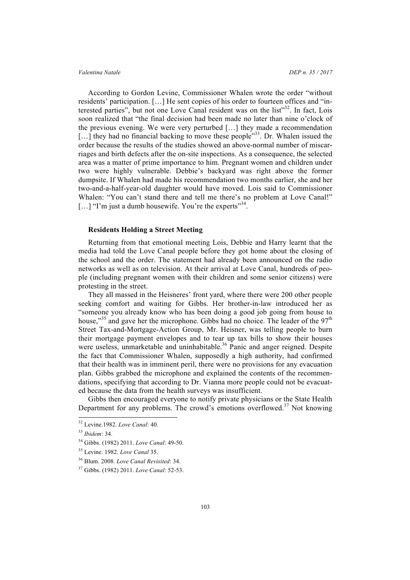### *Valentina Natale DEP n. 35 / 2017*

According to Gordon Levine, Commissioner Whalen wrote the order "without residents' participation. […] He sent copies of his order to fourteen offices and "interested parties", but not one Love Canal resident was on the list"<sup>32</sup>. In fact, Lois soon realized that "the final decision had been made no later than nine o'clock of the previous evening. We were very perturbed […] they made a recommendation [...] they had no financial backing to move these people<sup>733</sup>. Dr. Whalen issued the order because the results of the studies showed an above-normal number of miscarriages and birth defects after the on-site inspections. As a consequence, the selected area was a matter of prime importance to him. Pregnant women and children under two were highly vulnerable. Debbie's backyard was right above the former dumpsite. If Whalen had made his recommendation two months earlier, she and her two-and-a-half-year-old daughter would have moved. Lois said to Commissioner Whalen: "You can't stand there and tell me there's no problem at Love Canal!" [...] "I'm just a dumb housewife. You're the experts"<sup>34</sup>.

# **Residents Holding a Street Meeting**

Returning from that emotional meeting Lois, Debbie and Harry learnt that the media had told the Love Canal people before they got home about the closing of the school and the order. The statement had already been announced on the radio networks as well as on television. At their arrival at Love Canal, hundreds of people (including pregnant women with their children and some senior citizens) were protesting in the street.

They all massed in the Heisneres' front yard, where there were 200 other people seeking comfort and waiting for Gibbs. Her brother-in-law introduced her as "someone you already know who has been doing a good job going from house to house,"<sup>35</sup> and gave her the microphone. Gibbs had no choice. The leader of the 97<sup>th</sup> Street Tax-and-Mortgage-Action Group, Mr. Heisner, was telling people to burn their mortgage payment envelopes and to tear up tax bills to show their houses were useless, unmarketable and uninhabitable.<sup>36</sup> Panic and anger reigned. Despite the fact that Commissioner Whalen, supposedly a high authority, had confirmed that their health was in imminent peril, there were no provisions for any evacuation plan. Gibbs grabbed the microphone and explained the contents of the recommendations, specifying that according to Dr. Vianna more people could not be evacuated because the data from the health surveys was insufficient.

Gibbs then encouraged everyone to notify private physicians or the State Health Department for any problems. The crowd's emotions overflowed.<sup>37</sup> Not knowing

 <sup>32</sup> Levine.1982. *Love Canal*: 40.

<sup>33</sup> *Ibidem*: 34.

<sup>34</sup> Gibbs. (1982) 2011. *Love Canal*: 49-50.

<sup>35</sup> Levine. 1982. *Love Canal* 35.

<sup>36</sup> Blum. 2008. *Love Canal Revisited*: 34.

<sup>37</sup> Gibbs. (1982) 2011. *Love Canal*: 52-53.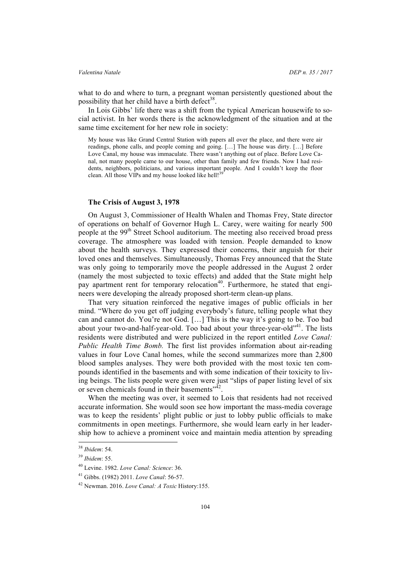what to do and where to turn, a pregnant woman persistently questioned about the possibility that her child have a birth defect $38$ .

In Lois Gibbs' life there was a shift from the typical American housewife to social activist. In her words there is the acknowledgment of the situation and at the same time excitement for her new role in society:

My house was like Grand Central Station with papers all over the place, and there were air readings, phone calls, and people coming and going. […] The house was dirty. […] Before Love Canal, my house was immaculate. There wasn't anything out of place. Before Love Canal, not many people came to our house, other than family and few friends. Now I had residents, neighbors, politicians, and various important people. And I couldn't keep the floor clean. All those VIPs and my house looked like hell!<sup>39</sup>

### **The Crisis of August 3, 1978**

On August 3, Commissioner of Health Whalen and Thomas Frey, State director of operations on behalf of Governor Hugh L. Carey, were waiting for nearly 500 people at the 99<sup>th</sup> Street School auditorium. The meeting also received broad press coverage. The atmosphere was loaded with tension. People demanded to know about the health surveys. They expressed their concerns, their anguish for their loved ones and themselves. Simultaneously, Thomas Frey announced that the State was only going to temporarily move the people addressed in the August 2 order (namely the most subjected to toxic effects) and added that the State might help pay apartment rent for temporary relocation<sup>40</sup>. Furthermore, he stated that engineers were developing the already proposed short-term clean-up plans.

That very situation reinforced the negative images of public officials in her mind. "Where do you get off judging everybody's future, telling people what they can and cannot do. You're not God. […] This is the way it's going to be. Too bad about your two-and-half-year-old. Too bad about your three-year-old"<sup>41</sup>. The lists residents were distributed and were publicized in the report entitled *Love Canal: Public Health Time Bomb.* The first list provides information about air-reading values in four Love Canal homes, while the second summarizes more than 2,800 blood samples analyses. They were both provided with the most toxic ten compounds identified in the basements and with some indication of their toxicity to living beings. The lists people were given were just "slips of paper listing level of six or seven chemicals found in their basements"<sup>32</sup>.

When the meeting was over, it seemed to Lois that residents had not received accurate information. She would soon see how important the mass-media coverage was to keep the residents' plight public or just to lobby public officials to make commitments in open meetings. Furthermore, she would learn early in her leadership how to achieve a prominent voice and maintain media attention by spreading

 <sup>38</sup> *Ibidem*: 54.

<sup>39</sup> *Ibidem*: 55.

<sup>40</sup> Levine. 1982. *Love Canal: Science*: 36.

<sup>41</sup> Gibbs. (1982) 2011. *Love Canal*: 56-57.

<sup>42</sup> Newman. 2016. *Love Canal: A Toxic* History:155.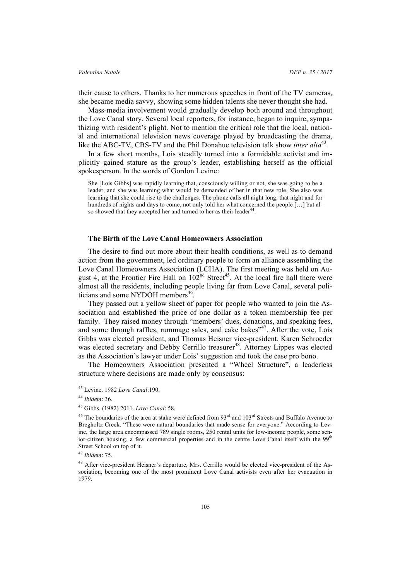their cause to others. Thanks to her numerous speeches in front of the TV cameras, she became media savvy, showing some hidden talents she never thought she had.

Mass-media involvement would gradually develop both around and throughout the Love Canal story. Several local reporters, for instance, began to inquire, sympathizing with resident's plight. Not to mention the critical role that the local, national and international television news coverage played by broadcasting the drama, like the ABC-TV, CBS-TV and the Phil Donahue television talk show *inter alia*<sup>43</sup>*.*

In a few short months, Lois steadily turned into a formidable activist and implicitly gained stature as the group's leader, establishing herself as the official spokesperson. In the words of Gordon Levine:

She [Lois Gibbs] was rapidly learning that, consciously willing or not, she was going to be a leader, and she was learning what would be demanded of her in that new role. She also was learning that she could rise to the challenges. The phone calls all night long, that night and for hundreds of nights and days to come, not only told her what concerned the people […] but also showed that they accepted her and turned to her as their leader<sup>44</sup>.

### **The Birth of the Love Canal Homeowners Association**

The desire to find out more about their health conditions, as well as to demand action from the government, led ordinary people to form an alliance assembling the Love Canal Homeowners Association (LCHA). The first meeting was held on August 4, at the Frontier Fire Hall on  $102<sup>nd</sup> Street<sup>45</sup>$ . At the local fire hall there were almost all the residents, including people living far from Love Canal, several politicians and some NYDOH members<sup>46</sup>.

They passed out a yellow sheet of paper for people who wanted to join the Association and established the price of one dollar as a token membership fee per family. They raised money through "members' dues, donations, and speaking fees, and some through raffles, rummage sales, and cake bakes"<sup>47</sup>. After the vote, Lois Gibbs was elected president, and Thomas Heisner vice-president. Karen Schroeder was elected secretary and Debby Cerrillo treasurer<sup>48</sup>. Attorney Lippes was elected as the Association's lawyer under Lois' suggestion and took the case pro bono.

The Homeowners Association presented a "Wheel Structure", a leaderless structure where decisions are made only by consensus:

 <sup>43</sup> Levine. 1982 *Love Canal*:190.

<sup>44</sup> *Ibidem*: 36.

<sup>45</sup> Gibbs. (1982) 2011. *Love Canal*: 58.

<sup>&</sup>lt;sup>46</sup> The boundaries of the area at stake were defined from  $93<sup>rd</sup>$  and  $103<sup>rd</sup>$  Streets and Buffalo Avenue to Bregholtz Creek. "These were natural boundaries that made sense for everyone." According to Levine, the large area encompassed 789 single rooms, 250 rental units for low-income people, some senior-citizen housing, a few commercial properties and in the centre Love Canal itself with the 99<sup>th</sup> Street School on top of it.

<sup>47</sup> *Ibidem*: 75.

<sup>48</sup> After vice-president Heisner's departure, Mrs. Cerrillo would be elected vice-president of the Association, becoming one of the most prominent Love Canal activists even after her evacuation in 1979.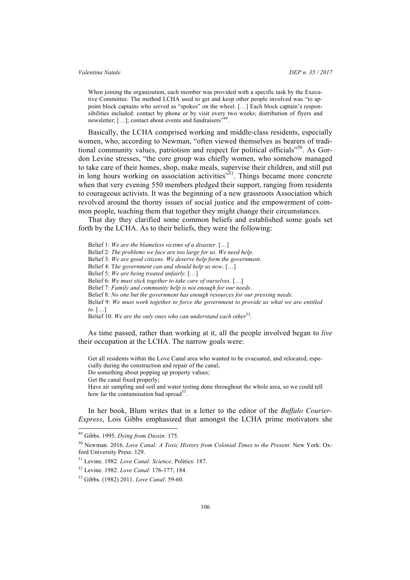When joining the organization, each member was provided with a specific task by the Executive Committee. The method LCHA used to get and keep other people involved was "to appoint block captains who served as "spokes" on the wheel. […] Each block captain's responsibilities included: contact by phone or by visit every two weeks; distribution of flyers and newsletter; [...]; contact about events and fundraisers"

Basically, the LCHA comprised working and middle-class residents, especially women, who, according to Newman, "often viewed themselves as bearers of traditional community values, patriotism and respect for political officials"<sup>50</sup>. As Gordon Levine stresses, "the core group was chiefly women, who somehow managed to take care of their homes, shop, make meals, supervise their children, and still put in long hours working on association activities<sup>351</sup>. Things became more concrete when that very evening 550 members pledged their support, ranging from residents to courageous activists. It was the beginning of a new grassroots Association which revolved around the thorny issues of social justice and the empowerment of common people, teaching them that together they might change their circumstances.

That day they clarified some common beliefs and established some goals set forth by the LCHA. As to their beliefs, they were the following:

Belief 1: *We are the blameless victims of a disaster*. […] Belief 2: *The problems we face are too large for us. We need help*. Belief 3: *We are good citizens. We deserve help form the government*. Belief 4: T*he government can and should help us now*. […] Belief 5: *We are being treated unfairly*. […] Belief 6: *We must stick together to take care of ourselves*. […] Belief 7: *Family and community help is not enough for our needs*. Belief 8: *No one but the government has enough resources for our pressing needs*. Belief 9: *We must work together to force the government to provide us what we are entitled to*. […] Belief 10: *We are the only ones who can understand each other*<sup>52</sup>.

As time passed, rather than working at it, all the people involved began to *live* their occupation at the LCHA. The narrow goals were:

Get all residents within the Love Canal area who wanted to be evacuated, and relocated, especially during the construction and repair of the canal; Do something about popping up property values;

Get the canal fixed properly;

Have air sampling and soil and water testing done throughout the whole area, so we could tell how far the contamination had spread<sup>53</sup>

In her book, Blum writes that in a letter to the editor of the *Buffalo Courier-Express*, Lois Gibbs emphasized that amongst the LCHA prime motivators she

 <sup>49</sup> Gibbs. 1995. *Dying from Dioxin*: 175.

<sup>50</sup> Newman. 2016. *Love Canal: A Toxic History from Colonial Times to the Present.* New York: Oxford University Press: 129.

<sup>51</sup> Levine. 1982. *Love Canal: Science,* Politics: 187.

<sup>52</sup> Levine. 1982. *Love Canal*: 176-177; 184.

<sup>53</sup> Gibbs. (1982) 2011. *Love Canal*: 59-60.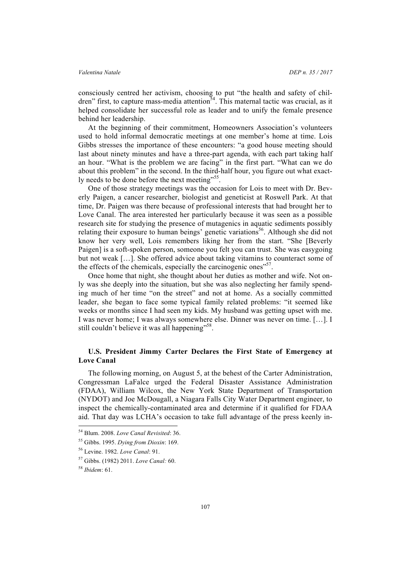consciously centred her activism, choosing to put "the health and safety of children" first, to capture mass-media attention $5<sup>4</sup>$ . This maternal tactic was crucial, as it helped consolidate her successful role as leader and to unify the female presence behind her leadership.

At the beginning of their commitment, Homeowners Association's volunteers used to hold informal democratic meetings at one member's home at time. Lois Gibbs stresses the importance of these encounters: "a good house meeting should last about ninety minutes and have a three-part agenda, with each part taking half an hour. "What is the problem we are facing" in the first part. "What can we do about this problem" in the second. In the third-half hour, you figure out what exactly needs to be done before the next meeting"<sup>55</sup>.

One of those strategy meetings was the occasion for Lois to meet with Dr. Beverly Paigen, a cancer researcher, biologist and geneticist at Roswell Park. At that time, Dr. Paigen was there because of professional interests that had brought her to Love Canal. The area interested her particularly because it was seen as a possible research site for studying the presence of mutagenics in aquatic sediments possibly relating their exposure to human beings' genetic variations<sup>56</sup>. Although she did not know her very well, Lois remembers liking her from the start. "She [Beverly Paigen] is a soft-spoken person, someone you felt you can trust. She was easygoing but not weak […]. She offered advice about taking vitamins to counteract some of the effects of the chemicals, especially the carcinogenic ones"<sup>57</sup>.

Once home that night, she thought about her duties as mother and wife. Not only was she deeply into the situation, but she was also neglecting her family spending much of her time "on the street" and not at home. As a socially committed leader, she began to face some typical family related problems: "it seemed like weeks or months since I had seen my kids. My husband was getting upset with me. I was never home; I was always somewhere else. Dinner was never on time. […]. I still couldn't believe it was all happening"<sup>58</sup>.

# **U.S. President Jimmy Carter Declares the First State of Emergency at Love Canal**

The following morning, on August 5, at the behest of the Carter Administration, Congressman LaFalce urged the Federal Disaster Assistance Administration (FDAA), William Wilcox, the New York State Department of Transportation (NYDOT) and Joe McDougall, a Niagara Falls City Water Department engineer, to inspect the chemically-contaminated area and determine if it qualified for FDAA aid. That day was LCHA's occasion to take full advantage of the press keenly in-

 <sup>54</sup> Blum. 2008. *Love Canal Revisited*: 36.

<sup>55</sup> Gibbs. 1995. *Dying from Dioxin*: 169.

<sup>56</sup> Levine. 1982. *Love Canal*: 91.

<sup>57</sup> Gibbs. (1982) 2011. *Love Canal:* 60.

<sup>58</sup> *Ibidem*: 61.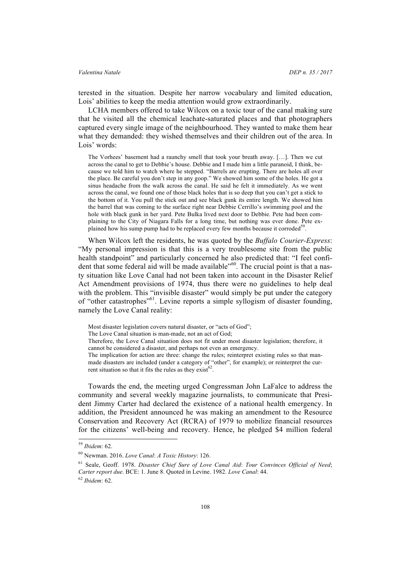terested in the situation. Despite her narrow vocabulary and limited education, Lois' abilities to keep the media attention would grow extraordinarily.

LCHA members offered to take Wilcox on a toxic tour of the canal making sure that he visited all the chemical leachate-saturated places and that photographers captured every single image of the neighbourhood. They wanted to make them hear what they demanded: they wished themselves and their children out of the area. In Lois' words:

The Vorhees' basement had a raunchy smell that took your breath away. […]. Then we cut across the canal to get to Debbie's house. Debbie and I made him a little paranoid, I think, because we told him to watch where he stepped. "Barrels are erupting. There are holes all over the place. Be careful you don't step in any goop." We showed him some of the holes. He got a sinus headache from the walk across the canal. He said he felt it immediately. As we went across the canal, we found one of those black holes that is so deep that you can't get a stick to the bottom of it. You pull the stick out and see black gunk its entire length. We showed him the barrel that was coming to the surface right near Debbie Cerrillo's swimming pool and the hole with black gunk in her yard. Pete Bulka lived next door to Debbie. Pete had been complaining to the City of Niagara Falls for a long time, but nothing was ever done. Pete explained how his sump pump had to be replaced every few months because it corroded<sup>59</sup>.

When Wilcox left the residents, he was quoted by the *Buffalo Courier-Express*: "My personal impression is that this is a very troublesome site from the public health standpoint" and particularly concerned he also predicted that: "I feel confident that some federal aid will be made available"<sup>60</sup>. The crucial point is that a nasty situation like Love Canal had not been taken into account in the Disaster Relief Act Amendment provisions of 1974, thus there were no guidelines to help deal with the problem. This "invisible disaster" would simply be put under the category of "other catastrophes"61. Levine reports a simple syllogism of disaster founding, namely the Love Canal reality:

Most disaster legislation covers natural disaster, or "acts of God";

The Love Canal situation is man-made, not an act of God;

Therefore, the Love Canal situation does not fit under most disaster legislation; therefore, it cannot be considered a disaster, and perhaps not even an emergency.

The implication for action are three: change the rules; reinterpret existing rules so that manmade disasters are included (under a category of "other", for example); or reinterpret the current situation so that it fits the rules as they exist<sup>62</sup>.

Towards the end, the meeting urged Congressman John LaFalce to address the community and several weekly magazine journalists, to communicate that President Jimmy Carter had declared the existence of a national health emergency. In addition, the President announced he was making an amendment to the Resource Conservation and Recovery Act (RCRA) of 1979 to mobilize financial resources for the citizens' well-being and recovery. Hence, he pledged \$4 million federal

 <sup>59</sup> *Ibidem*: 62.

<sup>60</sup> Newman. 2016. *Love Canal*: *A Toxic History*: 126.

<sup>61</sup> Seale, Geoff. 1978. *Disaster Chief Sure of Love Canal Aid*: *Tour Convinces Official of Need*; *Carter report due*. BCE: 1. June 8. Quoted in Levine. 1982. *Love Canal*: 44.

<sup>62</sup> *Ibidem*: 62.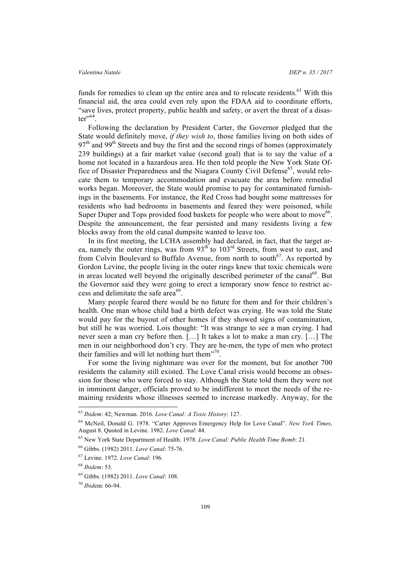funds for remedies to clean up the entire area and to relocate residents. $63$  With this financial aid, the area could even rely upon the FDAA aid to coordinate efforts, "save lives, protect property, public health and safety, or avert the threat of a disas $ter$ <sup> $,64$ </sup>.

Following the declaration by President Carter, the Governor pledged that the State would definitely move, *if they wish to*, those families living on both sides of  $97<sup>th</sup>$  and  $99<sup>th</sup>$  Streets and buy the first and the second rings of homes (approximately 239 buildings) at a fair market value (second goal) that is to say the value of a home not located in a hazardous area. He then told people the New York State Office of Disaster Preparedness and the Niagara County Civil Defense<sup>65</sup>, would relocate them to temporary accommodation and evacuate the area before remedial works began. Moreover, the State would promise to pay for contaminated furnishings in the basements. For instance, the Red Cross had bought some mattresses for residents who had bedrooms in basements and feared they were poisoned, while Super Duper and Tops provided food baskets for people who were about to move<sup>66</sup>. Despite the announcement, the fear persisted and many residents living a few blocks away from the old canal dumpsite wanted to leave too.

In its first meeting, the LCHA assembly had declared, in fact, that the target area, namely the outer rings, was from  $93<sup>th</sup>$  to  $103<sup>rd</sup>$  Streets, from west to east, and from Colvin Boulevard to Buffalo Avenue, from north to south<sup>67</sup>. As reported by Gordon Levine, the people living in the outer rings knew that toxic chemicals were in areas located well beyond the originally described perimeter of the canal<sup>68</sup>. But the Governor said they were going to erect a temporary snow fence to restrict access and delimitate the safe area $^{69}$ .

Many people feared there would be no future for them and for their children's health. One man whose child had a birth defect was crying. He was told the State would pay for the buyout of other homes if they showed signs of contamination, but still he was worried. Lois thought: "It was strange to see a man crying. I had never seen a man cry before then. […] It takes a lot to make a man cry. […] The men in our neighborhood don't cry. They are he-men, the type of men who protect their families and will let nothing hurt them"<sup>70</sup>.

For some the living nightmare was over for the moment, but for another 700 residents the calamity still existed. The Love Canal crisis would become an obsession for those who were forced to stay. Although the State told them they were not in imminent danger, officials proved to be indifferent to meet the needs of the remaining residents whose illnesses seemed to increase markedly. Anyway, for the

 <sup>63</sup> *Ibidem*: 42; Newman. 2016. *Love Canal: A Toxic History*: 127.

<sup>64</sup> McNeil, Donald G. 1978. "Carter Approves Emergency Help for Love Canal". *New York Times*, August 8. Quoted in Levine. 1982. *Love Canal*: 44.

<sup>65</sup> New York State Department of Health. 1978. *Love Canal: Public Health Time Bomb*: 21.

<sup>66</sup> Gibbs. (1982) 2011. *Love Canal*: 75-76.

<sup>67</sup> Levine. 1972. *Love Canal*: 196.

<sup>68</sup> *Ibidem*: 53.

<sup>69</sup> Gibbs. (1982) 2011. *Love Canal*: 108.

<sup>70</sup> *Ibid*em: 66-94.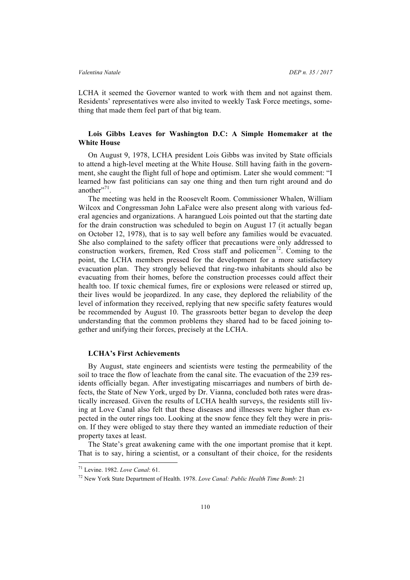LCHA it seemed the Governor wanted to work with them and not against them. Residents' representatives were also invited to weekly Task Force meetings, something that made them feel part of that big team.

# **Lois Gibbs Leaves for Washington D.C: A Simple Homemaker at the White House**

On August 9, 1978, LCHA president Lois Gibbs was invited by State officials to attend a high-level meeting at the White House. Still having faith in the government, she caught the flight full of hope and optimism. Later she would comment: "I learned how fast politicians can say one thing and then turn right around and do another". $71$ .

The meeting was held in the Roosevelt Room. Commissioner Whalen, William Wilcox and Congressman John LaFalce were also present along with various federal agencies and organizations. A harangued Lois pointed out that the starting date for the drain construction was scheduled to begin on August 17 (it actually began on October 12, 1978), that is to say well before any families would be evacuated. She also complained to the safety officer that precautions were only addressed to construction workers, firemen, Red Cross staff and policemen<sup>72</sup>. Coming to the point, the LCHA members pressed for the development for a more satisfactory evacuation plan. They strongly believed that ring-two inhabitants should also be evacuating from their homes, before the construction processes could affect their health too. If toxic chemical fumes, fire or explosions were released or stirred up, their lives would be jeopardized. In any case, they deplored the reliability of the level of information they received, replying that new specific safety features would be recommended by August 10. The grassroots better began to develop the deep understanding that the common problems they shared had to be faced joining together and unifying their forces, precisely at the LCHA.

### **LCHA's First Achievements**

By August, state engineers and scientists were testing the permeability of the soil to trace the flow of leachate from the canal site. The evacuation of the 239 residents officially began. After investigating miscarriages and numbers of birth defects, the State of New York, urged by Dr. Vianna, concluded both rates were drastically increased. Given the results of LCHA health surveys, the residents still living at Love Canal also felt that these diseases and illnesses were higher than expected in the outer rings too. Looking at the snow fence they felt they were in prison. If they were obliged to stay there they wanted an immediate reduction of their property taxes at least.

The State's great awakening came with the one important promise that it kept. That is to say, hiring a scientist, or a consultant of their choice, for the residents

 <sup>71</sup> Levine. 1982. *Love Canal*: 61.

<sup>72</sup> New York State Department of Health. 1978. *Love Canal: Public Health Time Bomb*: 21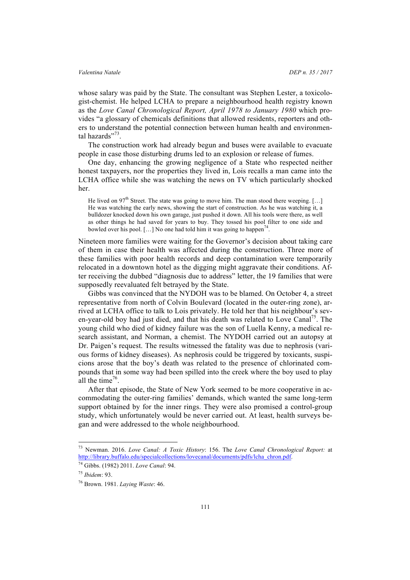whose salary was paid by the State. The consultant was Stephen Lester, a toxicologist-chemist. He helped LCHA to prepare a neighbourhood health registry known as the *Love Canal Chronological Report, April 1978 to January 1980* which provides "a glossary of chemicals definitions that allowed residents, reporters and others to understand the potential connection between human health and environmental hazards"<sup>73</sup>.

The construction work had already begun and buses were available to evacuate people in case those disturbing drums led to an explosion or release of fumes.

One day, enhancing the growing negligence of a State who respected neither honest taxpayers, nor the properties they lived in, Lois recalls a man came into the LCHA office while she was watching the news on TV which particularly shocked her.

He lived on 97<sup>th</sup> Street. The state was going to move him. The man stood there weeping. [...] He was watching the early news, showing the start of construction. As he was watching it, a bulldozer knocked down his own garage, just pushed it down. All his tools were there, as well as other things he had saved for years to buy. They tossed his pool filter to one side and bowled over his pool. [...] No one had told him it was going to happen<sup>74</sup>.

Nineteen more families were waiting for the Governor's decision about taking care of them in case their health was affected during the construction. Three more of these families with poor health records and deep contamination were temporarily relocated in a downtown hotel as the digging might aggravate their conditions. After receiving the dubbed "diagnosis due to address" letter, the 19 families that were supposedly reevaluated felt betrayed by the State.

Gibbs was convinced that the NYDOH was to be blamed. On October 4, a street representative from north of Colvin Boulevard (located in the outer-ring zone), arrived at LCHA office to talk to Lois privately. He told her that his neighbour's seven-year-old boy had just died, and that his death was related to Love Canal<sup>75</sup>. The young child who died of kidney failure was the son of Luella Kenny, a medical research assistant, and Norman, a chemist. The NYDOH carried out an autopsy at Dr. Paigen's request. The results witnessed the fatality was due to nephrosis (various forms of kidney diseases). As nephrosis could be triggered by toxicants, suspicions arose that the boy's death was related to the presence of chlorinated compounds that in some way had been spilled into the creek where the boy used to play all the time<sup>76</sup>.

After that episode, the State of New York seemed to be more cooperative in accommodating the outer-ring families' demands, which wanted the same long-term support obtained by for the inner rings. They were also promised a control-group study, which unfortunately would be never carried out. At least, health surveys began and were addressed to the whole neighbourhood.

 <sup>73</sup> Newman. 2016. *Love Canal: A Toxic History*: 156. The *Love Canal Chronological Report:* at http://library.buffalo.edu/specialcollections/lovecanal/documents/pdfs/lcha\_chron.pdf.

<sup>74</sup> Gibbs. (1982) 2011. *Love Canal*: 94.

<sup>75</sup> *Ibidem*: 93.

<sup>76</sup> Brown. 1981. *Laying Waste*: 46.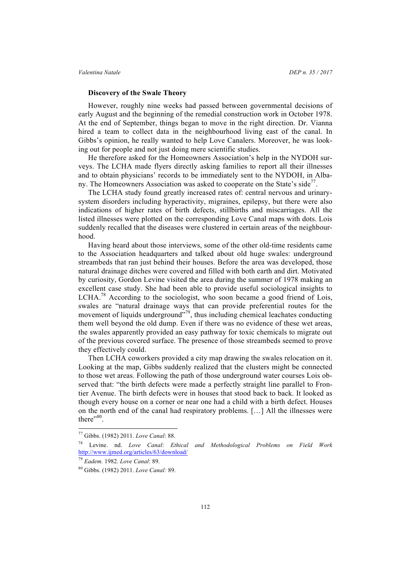### **Discovery of the Swale Theory**

However, roughly nine weeks had passed between governmental decisions of early August and the beginning of the remedial construction work in October 1978. At the end of September, things began to move in the right direction. Dr. Vianna hired a team to collect data in the neighbourhood living east of the canal. In Gibbs's opinion, he really wanted to help Love Canalers. Moreover, he was looking out for people and not just doing mere scientific studies.

He therefore asked for the Homeowners Association's help in the NYDOH surveys. The LCHA made flyers directly asking families to report all their illnesses and to obtain physicians' records to be immediately sent to the NYDOH, in Albany. The Homeowners Association was asked to cooperate on the State's side<sup>77</sup>.

The LCHA study found greatly increased rates of: central nervous and urinarysystem disorders including hyperactivity, migraines, epilepsy, but there were also indications of higher rates of birth defects, stillbirths and miscarriages. All the listed illnesses were plotted on the corresponding Love Canal maps with dots. Lois suddenly recalled that the diseases were clustered in certain areas of the neighbourhood.

Having heard about those interviews, some of the other old-time residents came to the Association headquarters and talked about old huge swales: underground streambeds that ran just behind their houses. Before the area was developed, those natural drainage ditches were covered and filled with both earth and dirt. Motivated by curiosity, Gordon Levine visited the area during the summer of 1978 making an excellent case study. She had been able to provide useful sociological insights to LCHA.<sup>78</sup> According to the sociologist, who soon became a good friend of Lois, swales are "natural drainage ways that can provide preferential routes for the movement of liquids underground"<sup>79</sup>, thus including chemical leachates conducting them well beyond the old dump. Even if there was no evidence of these wet areas, the swales apparently provided an easy pathway for toxic chemicals to migrate out of the previous covered surface. The presence of those streambeds seemed to prove they effectively could.

Then LCHA coworkers provided a city map drawing the swales relocation on it. Looking at the map, Gibbs suddenly realized that the clusters might be connected to those wet areas. Following the path of those underground water courses Lois observed that: "the birth defects were made a perfectly straight line parallel to Frontier Avenue. The birth defects were in houses that stood back to back. It looked as though every house on a corner or near one had a child with a birth defect. Houses on the north end of the canal had respiratory problems. […] All the illnesses were there"<sup>80</sup>.

 <sup>77</sup> Gibbs. (1982) 2011. *Love Canal*: 88.

<sup>78</sup> Levine. nd. *Love Canal*: *Ethical and Methodological Problems on Field Work* http://www.ijmed.org/articles/63/download/

<sup>79</sup> *Eadem.* 1982. *Love Canal*: 89.

<sup>80</sup> Gibbs. (1982) 2011. *Love Canal:* 89.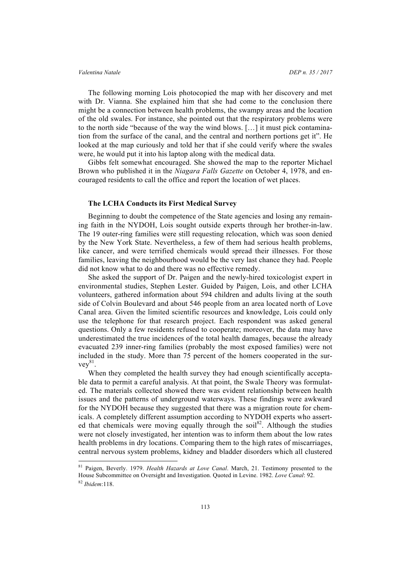### *Valentina Natale DEP n. 35 / 2017*

The following morning Lois photocopied the map with her discovery and met with Dr. Vianna. She explained him that she had come to the conclusion there might be a connection between health problems, the swampy areas and the location of the old swales. For instance, she pointed out that the respiratory problems were to the north side "because of the way the wind blows. […] it must pick contamination from the surface of the canal, and the central and northern portions get it". He looked at the map curiously and told her that if she could verify where the swales were, he would put it into his laptop along with the medical data.

Gibbs felt somewhat encouraged. She showed the map to the reporter Michael Brown who published it in the *Niagara Falls Gazette* on October 4, 1978, and encouraged residents to call the office and report the location of wet places.

### **The LCHA Conducts its First Medical Survey**

Beginning to doubt the competence of the State agencies and losing any remaining faith in the NYDOH, Lois sought outside experts through her brother-in-law. The 19 outer-ring families were still requesting relocation, which was soon denied by the New York State. Nevertheless, a few of them had serious health problems, like cancer, and were terrified chemicals would spread their illnesses. For those families, leaving the neighbourhood would be the very last chance they had. People did not know what to do and there was no effective remedy.

She asked the support of Dr. Paigen and the newly-hired toxicologist expert in environmental studies, Stephen Lester. Guided by Paigen, Lois, and other LCHA volunteers, gathered information about 594 children and adults living at the south side of Colvin Boulevard and about 546 people from an area located north of Love Canal area. Given the limited scientific resources and knowledge, Lois could only use the telephone for that research project. Each respondent was asked general questions. Only a few residents refused to cooperate; moreover, the data may have underestimated the true incidences of the total health damages, because the already evacuated 239 inner-ring families (probably the most exposed families) were not included in the study. More than 75 percent of the homers cooperated in the sur $vev^{81}$ .

When they completed the health survey they had enough scientifically acceptable data to permit a careful analysis. At that point, the Swale Theory was formulated. The materials collected showed there was evident relationship between health issues and the patterns of underground waterways. These findings were awkward for the NYDOH because they suggested that there was a migration route for chemicals. A completely different assumption according to NYDOH experts who asserted that chemicals were moving equally through the soil<sup>82</sup>. Although the studies were not closely investigated, her intention was to inform them about the low rates health problems in dry locations. Comparing them to the high rates of miscarriages, central nervous system problems, kidney and bladder disorders which all clustered

 <sup>81</sup> Paigen, Beverly. 1979. *Health Hazards at Love Canal*. March, 21. Testimony presented to the House Subcommittee on Oversight and Investigation. Quoted in Levine. 1982. *Love Canal*: 92. <sup>82</sup> *Ibidem*:118.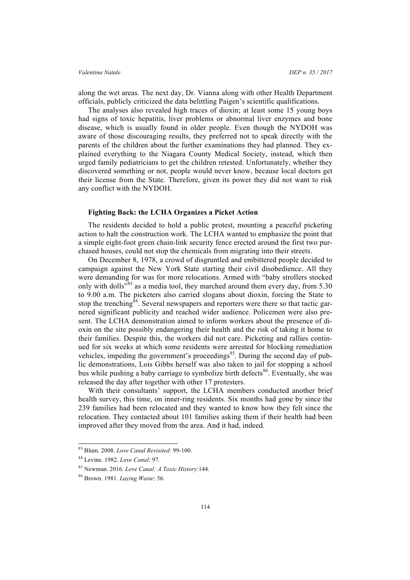along the wet areas. The next day, Dr. Vianna along with other Health Department officials, publicly criticized the data belittling Paigen's scientific qualifications.

The analyses also revealed high traces of dioxin; at least some 15 young boys had signs of toxic hepatitis, liver problems or abnormal liver enzymes and bone disease, which is usually found in older people. Even though the NYDOH was aware of those discouraging results, they preferred not to speak directly with the parents of the children about the further examinations they had planned. They explained everything to the Niagara County Medical Society, instead, which then urged family pediatricians to get the children retested. Unfortunately, whether they discovered something or not, people would never know, because local doctors get their license from the State. Therefore, given its power they did not want to risk any conflict with the NYDOH.

### **Fighting Back: the LCHA Organizes a Picket Action**

The residents decided to hold a public protest, mounting a peaceful picketing action to halt the construction work. The LCHA wanted to emphasize the point that a simple eight-foot green chain-link security fence erected around the first two purchased houses, could not stop the chemicals from migrating into their streets.

On December 8, 1978, a crowd of disgruntled and embittered people decided to campaign against the New York State starting their civil disobedience. All they were demanding for was for more relocations. Armed with "baby strollers stocked only with dolls<sup> $383$ </sup> as a media tool, they marched around them every day, from 5.30 to 9.00 a.m. The picketers also carried slogans about dioxin, forcing the State to stop the trenching<sup>84</sup>. Several newspapers and reporters were there so that tactic garnered significant publicity and reached wider audience. Policemen were also present. The LCHA demonstration aimed to inform workers about the presence of dioxin on the site possibly endangering their health and the risk of taking it home to their families. Despite this, the workers did not care. Picketing and rallies continued for six weeks at which some residents were arrested for blocking remediation vehicles, impeding the government's proceedings<sup>85</sup>. During the second day of public demonstrations, Lois Gibbs herself was also taken to jail for stopping a school bus while pushing a baby carriage to symbolize birth defects<sup>86</sup>. Eventually, she was released the day after together with other 17 protesters.

With their consultants' support, the LCHA members conducted another brief health survey, this time, on inner-ring residents. Six months had gone by since the 239 families had been relocated and they wanted to know how they felt since the relocation. They contacted about 101 families asking them if their health had been improved after they moved from the area. And it had, indeed.

 <sup>83</sup> Blum. 2008. *Love Canal Revisited*: 99-100.

<sup>84</sup> Levine. 1982. *Love Canal*: 97.

<sup>85</sup> Newman. 2016. *Love Canal: A Toxic History*:144.

<sup>86</sup> Brown. 1981. *Laying Waste*: 56.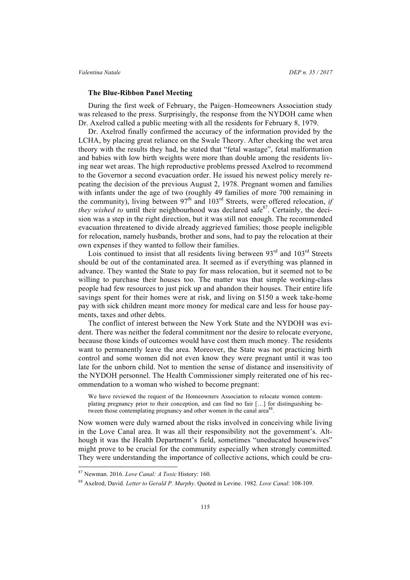### **The Blue-Ribbon Panel Meeting**

During the first week of February, the Paigen–Homeowners Association study was released to the press. Surprisingly, the response from the NYDOH came when Dr. Axelrod called a public meeting with all the residents for February 8, 1979.

Dr. Axelrod finally confirmed the accuracy of the information provided by the LCHA, by placing great reliance on the Swale Theory. After checking the wet area theory with the results they had, he stated that "fetal wastage", fetal malformation and babies with low birth weights were more than double among the residents living near wet areas. The high reproductive problems pressed Axelrod to recommend to the Governor a second evacuation order. He issued his newest policy merely repeating the decision of the previous August 2, 1978. Pregnant women and families with infants under the age of two (roughly 49 families of more 700 remaining in the community), living between  $97<sup>th</sup>$  and  $103<sup>rd</sup>$  Streets, were offered relocation, *if they wished to* until their neighbourhood was declared safe<sup>87</sup>. Certainly, the decision was a step in the right direction, but it was still not enough. The recommended evacuation threatened to divide already aggrieved families; those people ineligible for relocation, namely husbands, brother and sons, had to pay the relocation at their own expenses if they wanted to follow their families.

Lois continued to insist that all residents living between  $93<sup>rd</sup>$  and  $103<sup>rd</sup>$  Streets should be out of the contaminated area. It seemed as if everything was planned in advance. They wanted the State to pay for mass relocation, but it seemed not to be willing to purchase their houses too. The matter was that simple working-class people had few resources to just pick up and abandon their houses. Their entire life savings spent for their homes were at risk, and living on \$150 a week take-home pay with sick children meant more money for medical care and less for house payments, taxes and other debts.

The conflict of interest between the New York State and the NYDOH was evident. There was neither the federal commitment nor the desire to relocate everyone, because those kinds of outcomes would have cost them much money. The residents want to permanently leave the area. Moreover, the State was not practicing birth control and some women did not even know they were pregnant until it was too late for the unborn child. Not to mention the sense of distance and insensitivity of the NYDOH personnel. The Health Commissioner simply reiterated one of his recommendation to a woman who wished to become pregnant:

We have reviewed the request of the Homeowners Association to relocate women contemplating pregnancy prior to their conception, and can find no fair […] for distinguishing between those contemplating pregnancy and other women in the canal area<sup>88</sup>.

Now women were duly warned about the risks involved in conceiving while living in the Love Canal area. It was all their responsibility not the government's. Although it was the Health Department's field, sometimes "uneducated housewives" might prove to be crucial for the community especially when strongly committed. They were understanding the importance of collective actions, which could be cru-

 <sup>87</sup> Newman. 2016. *Love Canal: A Toxic* History: 160.

<sup>88</sup> Axelrod, David. *Letter to Gerald P*. *Murphy*. Quoted in Levine. 1982. *Love Canal*: 108-109.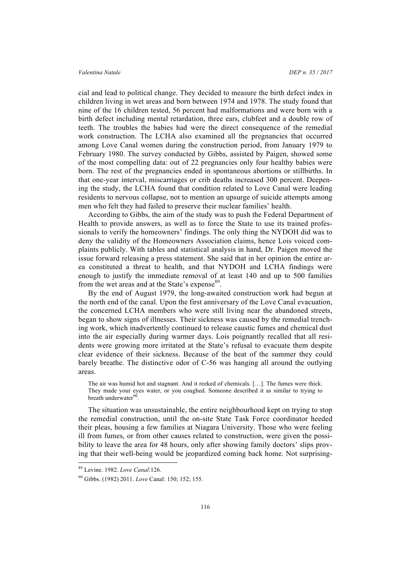cial and lead to political change. They decided to measure the birth defect index in children living in wet areas and born between 1974 and 1978. The study found that nine of the 16 children tested, 56 percent had malformations and were born with a birth defect including mental retardation, three ears, clubfeet and a double row of teeth. The troubles the babies had were the direct consequence of the remedial work construction. The LCHA also examined all the pregnancies that occurred among Love Canal women during the construction period, from January 1979 to February 1980. The survey conducted by Gibbs, assisted by Paigen, showed some of the most compelling data: out of 22 pregnancies only four healthy babies were born. The rest of the pregnancies ended in spontaneous abortions or stillbirths. In that one-year interval, miscarriages or crib deaths increased 300 percent. Deepening the study, the LCHA found that condition related to Love Canal were leading residents to nervous collapse, not to mention an upsurge of suicide attempts among men who felt they had failed to preserve their nuclear families' health.

According to Gibbs, the aim of the study was to push the Federal Department of Health to provide answers, as well as to force the State to use its trained professionals to verify the homeowners' findings. The only thing the NYDOH did was to deny the validity of the Homeowners Association claims, hence Lois voiced complaints publicly. With tables and statistical analysis in hand, Dr. Paigen moved the issue forward releasing a press statement. She said that in her opinion the entire area constituted a threat to health, and that NYDOH and LCHA findings were enough to justify the immediate removal of at least 140 and up to 500 families from the wet areas and at the State's expense<sup>89</sup>.

By the end of August 1979, the long-awaited construction work had begun at the north end of the canal. Upon the first anniversary of the Love Canal evacuation, the concerned LCHA members who were still living near the abandoned streets, began to show signs of illnesses. Their sickness was caused by the remedial trenching work, which inadvertently continued to release caustic fumes and chemical dust into the air especially during warmer days. Lois poignantly recalled that all residents were growing more irritated at the State's refusal to evacuate them despite clear evidence of their sickness. Because of the heat of the summer they could barely breathe. The distinctive odor of C-56 was hanging all around the outlying areas.

The air was humid hot and stagnant. And it reeked of chemicals. […]. The fumes were thick. They made your eyes water, or you coughed. Someone described it as similar to trying to breath underwater<sup>90</sup>.

The situation was unsustainable, the entire neighbourhood kept on trying to stop the remedial construction, until the on-site State Task Force coordinator heeded their pleas, housing a few families at Niagara University. Those who were feeling ill from fumes, or from other causes related to construction, were given the possibility to leave the area for 48 hours, only after showing family doctors' slips proving that their well-being would be jeopardized coming back home. Not surprising-

 <sup>89</sup> Levine. 1982. *Love Canal*:126.

<sup>90</sup> Gibbs. (1982) 2011. *Love* Canal: 150; 152; 155.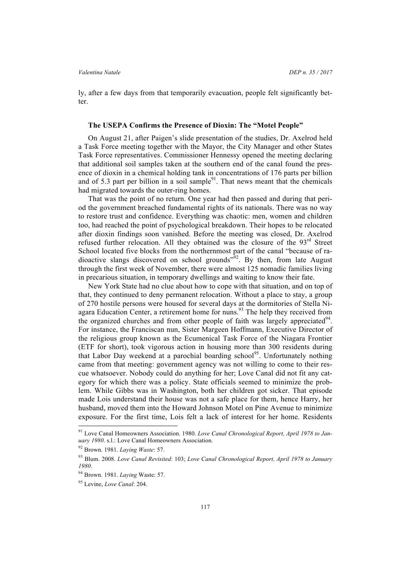ly, after a few days from that temporarily evacuation, people felt significantly better.

### **The USEPA Confirms the Presence of Dioxin: The "Motel People"**

On August 21, after Paigen's slide presentation of the studies, Dr. Axelrod held a Task Force meeting together with the Mayor, the City Manager and other States Task Force representatives. Commissioner Hennessy opened the meeting declaring that additional soil samples taken at the southern end of the canal found the presence of dioxin in a chemical holding tank in concentrations of 176 parts per billion and of 5.3 part per billion in a soil sample $91$ . That news meant that the chemicals had migrated towards the outer-ring homes.

That was the point of no return. One year had then passed and during that period the government breached fundamental rights of its nationals. There was no way to restore trust and confidence. Everything was chaotic: men, women and children too, had reached the point of psychological breakdown. Their hopes to be relocated after dioxin findings soon vanished. Before the meeting was closed, Dr. Axelrod refused further relocation. All they obtained was the closure of the  $93<sup>rd</sup>$  Street School located five blocks from the northernmost part of the canal "because of radioactive slangs discovered on school grounds<sup> $\frac{952}{2}$ </sup>. By then, from late August through the first week of November, there were almost 125 nomadic families living in precarious situation, in temporary dwellings and waiting to know their fate.

New York State had no clue about how to cope with that situation, and on top of that, they continued to deny permanent relocation. Without a place to stay, a group of 270 hostile persons were housed for several days at the dormitories of Stella Niagara Education Center, a retirement home for nuns.<sup>93</sup> The help they received from the organized churches and from other people of faith was largely appreciated  $94$ . For instance, the Franciscan nun, Sister Margeen Hoffmann, Executive Director of the religious group known as the Ecumenical Task Force of the Niagara Frontier (ETF for short), took vigorous action in housing more than 300 residents during that Labor Day weekend at a parochial boarding school<sup>95</sup>. Unfortunately nothing came from that meeting: government agency was not willing to come to their rescue whatsoever. Nobody could do anything for her; Love Canal did not fit any category for which there was a policy. State officials seemed to minimize the problem. While Gibbs was in Washington, both her children got sicker. That episode made Lois understand their house was not a safe place for them, hence Harry, her husband, moved them into the Howard Johnson Motel on Pine Avenue to minimize exposure. For the first time, Lois felt a lack of interest for her home. Residents

 <sup>91</sup> Love Canal Homeowners Association. 1980. *Love Canal Chronological Report, April 1978 to January 1980*. s.l.: Love Canal Homeowners Association.

<sup>92</sup> Brown. 1981. *Laying Waste*: 57.

<sup>93</sup> Blum. 2008. *Love Canal Revisited*: 103; *Love Canal Chronological Report, April 1978 to January 1980*.

<sup>94</sup> Brown. 1981. *Laying* Waste: 57.

<sup>95</sup> Levine, *Love Canal*: 204.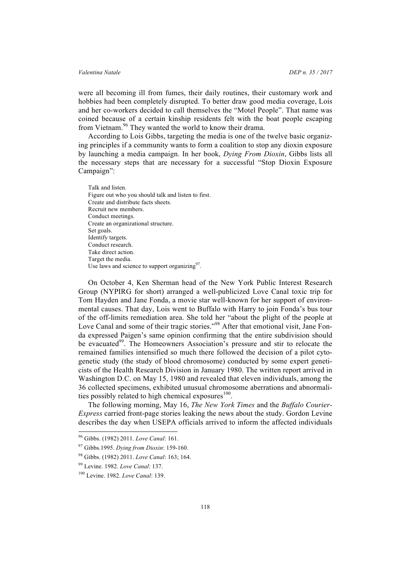were all becoming ill from fumes, their daily routines, their customary work and hobbies had been completely disrupted. To better draw good media coverage, Lois and her co-workers decided to call themselves the "Motel People". That name was coined because of a certain kinship residents felt with the boat people escaping from Vietnam.<sup>96</sup> They wanted the world to know their drama.

According to Lois Gibbs, targeting the media is one of the twelve basic organizing principles if a community wants to form a coalition to stop any dioxin exposure by launching a media campaign. In her book, *Dying From Dioxin*, Gibbs lists all the necessary steps that are necessary for a successful "Stop Dioxin Exposure Campaign":

Talk and listen. Figure out who you should talk and listen to first. Create and distribute facts sheets. Recruit new members. Conduct meetings. Create an organizational structure. Set goals. Identify targets. Conduct research. Take direct action. Target the media. Use laws and science to support organizing $97$ .

On October 4, Ken Sherman head of the New York Public Interest Research Group (NYPIRG for short) arranged a well-publicized Love Canal toxic trip for Tom Hayden and Jane Fonda, a movie star well-known for her support of environmental causes. That day, Lois went to Buffalo with Harry to join Fonda's bus tour of the off-limits remediation area. She told her "about the plight of the people at Love Canal and some of their tragic stories."<sup>98</sup> After that emotional visit, Jane Fonda expressed Paigen's same opinion confirming that the entire subdivision should be evacuated<sup>99</sup>. The Homeowners Association's pressure and stir to relocate the remained families intensified so much there followed the decision of a pilot cytogenetic study (the study of blood chromosome) conducted by some expert geneticists of the Health Research Division in January 1980. The written report arrived in Washington D.C. on May 15, 1980 and revealed that eleven individuals, among the 36 collected specimens, exhibited unusual chromosome aberrations and abnormalities possibly related to high chemical exposures $100$ .

The following morning, May 16, *The New York Times* and the *Buffalo Courier-Express* carried front-page stories leaking the news about the study. Gordon Levine describes the day when USEPA officials arrived to inform the affected individuals

 <sup>96</sup> Gibbs. (1982) 2011. *Love Canal*: 161.

<sup>97</sup> Gibbs.1995. *Dying from Dioxin*: 159-160.

<sup>98</sup> Gibbs. (1982) 2011. *Love Canal*: 163; 164.

<sup>99</sup> Levine. 1982. *Love Canal*: 137.

<sup>100</sup> Levine. 1982. *Love Canal*: 139.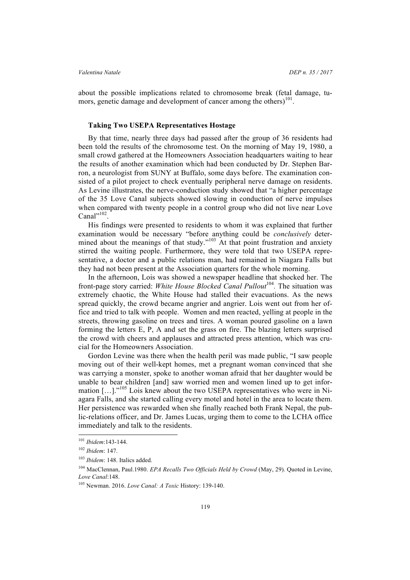about the possible implications related to chromosome break (fetal damage, tumors, genetic damage and development of cancer among the others) $101$ .

### **Taking Two USEPA Representatives Hostage**

By that time, nearly three days had passed after the group of 36 residents had been told the results of the chromosome test. On the morning of May 19, 1980, a small crowd gathered at the Homeowners Association headquarters waiting to hear the results of another examination which had been conducted by Dr. Stephen Barron, a neurologist from SUNY at Buffalo, some days before. The examination consisted of a pilot project to check eventually peripheral nerve damage on residents. As Levine illustrates, the nerve-conduction study showed that "a higher percentage of the 35 Love Canal subjects showed slowing in conduction of nerve impulses when compared with twenty people in a control group who did not live near Love Canal $^{\prime\prime\prime\prime\prime}$ .

His findings were presented to residents to whom it was explained that further examination would be necessary "before anything could be *conclusively* determined about the meanings of that study." $103$  At that point frustration and anxiety stirred the waiting people. Furthermore, they were told that two USEPA representative, a doctor and a public relations man, had remained in Niagara Falls but they had not been present at the Association quarters for the whole morning.

In the afternoon, Lois was showed a newspaper headline that shocked her. The front-page story carried: *White House Blocked Canal Pullout*<sup>104</sup>. The situation was extremely chaotic, the White House had stalled their evacuations. As the news spread quickly, the crowd became angrier and angrier. Lois went out from her office and tried to talk with people. Women and men reacted, yelling at people in the streets, throwing gasoline on trees and tires. A woman poured gasoline on a lawn forming the letters E, P, A and set the grass on fire. The blazing letters surprised the crowd with cheers and applauses and attracted press attention, which was crucial for the Homeowners Association.

Gordon Levine was there when the health peril was made public, "I saw people moving out of their well-kept homes, met a pregnant woman convinced that she was carrying a monster, spoke to another woman afraid that her daughter would be unable to bear children [and] saw worried men and women lined up to get information [...]."<sup>105</sup> Lois knew about the two USEPA representatives who were in Niagara Falls, and she started calling every motel and hotel in the area to locate them. Her persistence was rewarded when she finally reached both Frank Nepal, the public-relations officer, and Dr. James Lucas, urging them to come to the LCHA office immediately and talk to the residents.

 <sup>101</sup> *Ibidem*:143-144.

<sup>102</sup> *Ibidem*: 147.

<sup>103</sup> *Ibidem*: 148. Italics added.

<sup>104</sup> MacClennan, Paul.1980. *EPA Recalls Two Officials Held by Crowd* (May, 29). Quoted in Levine, *Love Canal*:148.

<sup>105</sup> Newman. 2016. *Love Canal: A Toxic* History: 139-140.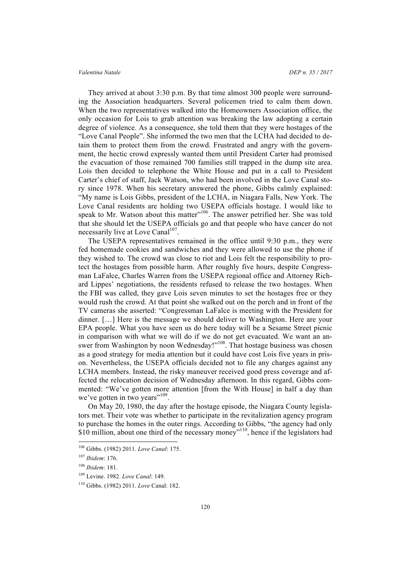### *Valentina Natale DEP n. 35 / 2017*

They arrived at about 3:30 p.m. By that time almost 300 people were surrounding the Association headquarters. Several policemen tried to calm them down. When the two representatives walked into the Homeowners Association office, the only occasion for Lois to grab attention was breaking the law adopting a certain degree of violence. As a consequence, she told them that they were hostages of the "Love Canal People". She informed the two men that the LCHA had decided to detain them to protect them from the crowd. Frustrated and angry with the government, the hectic crowd expressly wanted them until President Carter had promised the evacuation of those remained 700 families still trapped in the dump site area. Lois then decided to telephone the White House and put in a call to President Carter's chief of staff, Jack Watson, who had been involved in the Love Canal story since 1978. When his secretary answered the phone, Gibbs calmly explained: "My name is Lois Gibbs, president of the LCHA, in Niagara Falls, New York. The Love Canal residents are holding two USEPA officials hostage. I would like to speak to Mr. Watson about this matter"<sup>106</sup>. The answer petrified her. She was told that she should let the USEPA officials go and that people who have cancer do not necessarily live at Love Canal<sup>107</sup>.

The USEPA representatives remained in the office until 9:30 p.m., they were fed homemade cookies and sandwiches and they were allowed to use the phone if they wished to. The crowd was close to riot and Lois felt the responsibility to protect the hostages from possible harm. After roughly five hours, despite Congressman LaFalce, Charles Warren from the USEPA regional office and Attorney Richard Lippes' negotiations, the residents refused to release the two hostages. When the FBI was called, they gave Lois seven minutes to set the hostages free or they would rush the crowd. At that point she walked out on the porch and in front of the TV cameras she asserted: "Congressman LaFalce is meeting with the President for dinner. […] Here is the message we should deliver to Washington. Here are your EPA people. What you have seen us do here today will be a Sesame Street picnic in comparison with what we will do if we do not get evacuated. We want an answer from Washington by noon Wednesday!"<sup>108</sup>. That hostage business was chosen as a good strategy for media attention but it could have cost Lois five years in prison. Nevertheless, the USEPA officials decided not to file any charges against any LCHA members. Instead, the risky maneuver received good press coverage and affected the relocation decision of Wednesday afternoon. In this regard, Gibbs commented: "We've gotten more attention [from the With House] in half a day than we've gotten in two years"<sup>109</sup>.

On May 20, 1980, the day after the hostage episode, the Niagara County legislators met. Their vote was whether to participate in the revitalization agency program to purchase the homes in the outer rings. According to Gibbs, "the agency had only \$10 million, about one third of the necessary money"<sup>110</sup>, hence if the legislators had

 <sup>106</sup> Gibbs. (1982) 2011. *Love Canal*: 175.

<sup>107</sup> *Ibidem*: 176.

<sup>108</sup> *Ibidem*: 181.

<sup>109</sup> Levine. 1982. *Love Canal*: 149.

<sup>110</sup> Gibbs. (1982) 2011. *Love* Canal: 182.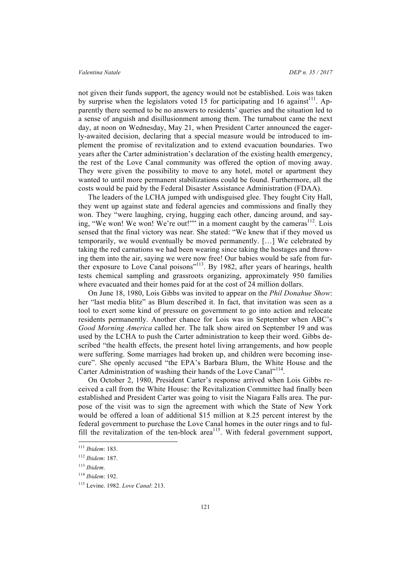not given their funds support, the agency would not be established. Lois was taken by surprise when the legislators voted 15 for participating and 16 against<sup>111</sup>. Apparently there seemed to be no answers to residents' queries and the situation led to a sense of anguish and disillusionment among them. The turnabout came the next day, at noon on Wednesday, May 21, when President Carter announced the eagerly-awaited decision, declaring that a special measure would be introduced to implement the promise of revitalization and to extend evacuation boundaries. Two years after the Carter administration's declaration of the existing health emergency, the rest of the Love Canal community was offered the option of moving away. They were given the possibility to move to any hotel, motel or apartment they wanted to until more permanent stabilizations could be found. Furthermore, all the costs would be paid by the Federal Disaster Assistance Administration (FDAA).

The leaders of the LCHA jumped with undisguised glee. They fought City Hall, they went up against state and federal agencies and commissions and finally they won. They "were laughing, crying, hugging each other, dancing around, and saying, "We won! We won! We're out!"" in a moment caught by the cameras<sup>112</sup>. Lois sensed that the final victory was near. She stated: "We knew that if they moved us temporarily, we would eventually be moved permanently. […] We celebrated by taking the red carnations we had been wearing since taking the hostages and throwing them into the air, saying we were now free! Our babies would be safe from further exposure to Love Canal poisons"<sup>113</sup>. By 1982, after years of hearings, health tests chemical sampling and grassroots organizing, approximately 950 families where evacuated and their homes paid for at the cost of 24 million dollars.

On June 18, 1980, Lois Gibbs was invited to appear on the *Phil Donahue Show*: her "last media blitz" as Blum described it. In fact, that invitation was seen as a tool to exert some kind of pressure on government to go into action and relocate residents permanently. Another chance for Lois was in September when ABC's *Good Morning America* called her. The talk show aired on September 19 and was used by the LCHA to push the Carter administration to keep their word. Gibbs described "the health effects, the present hotel living arrangements, and how people were suffering. Some marriages had broken up, and children were becoming insecure". She openly accused "the EPA's Barbara Blum, the White House and the Carter Administration of washing their hands of the Love Canal"<sup>114</sup>.

On October 2, 1980, President Carter's response arrived when Lois Gibbs received a call from the White House: the Revitalization Committee had finally been established and President Carter was going to visit the Niagara Falls area. The purpose of the visit was to sign the agreement with which the State of New York would be offered a loan of additional \$15 million at 8.25 percent interest by the federal government to purchase the Love Canal homes in the outer rings and to fulfill the revitalization of the ten-block area<sup>115</sup>. With federal government support,

 <sup>111</sup> *Ibidem*: 183.

<sup>112</sup> *Ibidem*: 187.

<sup>113</sup> *Ibidem*.

<sup>114</sup> *Ibidem*: 192.

<sup>115</sup> Levine. 1982. *Love Canal*: 213.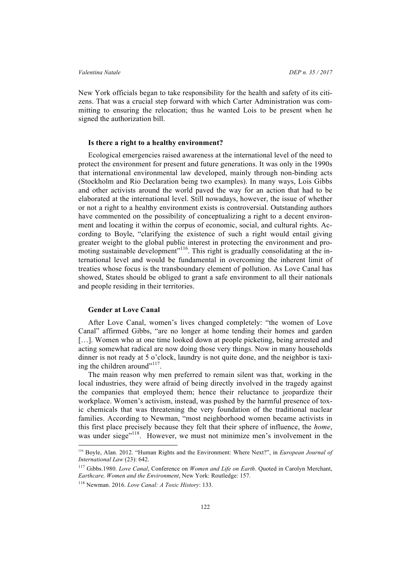New York officials began to take responsibility for the health and safety of its citizens. That was a crucial step forward with which Carter Administration was committing to ensuring the relocation; thus he wanted Lois to be present when he signed the authorization bill.

### **Is there a right to a healthy environment?**

Ecological emergencies raised awareness at the international level of the need to protect the environment for present and future generations. It was only in the 1990s that international environmental law developed, mainly through non-binding acts (Stockholm and Rio Declaration being two examples). In many ways, Lois Gibbs and other activists around the world paved the way for an action that had to be elaborated at the international level. Still nowadays, however, the issue of whether or not a right to a healthy environment exists is controversial. Outstanding authors have commented on the possibility of conceptualizing a right to a decent environment and locating it within the corpus of economic, social, and cultural rights. According to Boyle, "clarifying the existence of such a right would entail giving greater weight to the global public interest in protecting the environment and promoting sustainable development"<sup>116</sup>. This right is gradually consolidating at the international level and would be fundamental in overcoming the inherent limit of treaties whose focus is the transboundary element of pollution. As Love Canal has showed, States should be obliged to grant a safe environment to all their nationals and people residing in their territories.

### **Gender at Love Canal**

After Love Canal, women's lives changed completely: "the women of Love Canal" affirmed Gibbs, "are no longer at home tending their homes and garden [...]. Women who at one time looked down at people picketing, being arrested and acting somewhat radical are now doing those very things. Now in many households dinner is not ready at 5 o'clock, laundry is not quite done, and the neighbor is taxiing the children around"<sup>117</sup>.

The main reason why men preferred to remain silent was that, working in the local industries, they were afraid of being directly involved in the tragedy against the companies that employed them; hence their reluctance to jeopardize their workplace. Women's activism, instead, was pushed by the harmful presence of toxic chemicals that was threatening the very foundation of the traditional nuclear families. According to Newman, "most neighborhood women became activists in this first place precisely because they felt that their sphere of influence, the *home*, was under siege"<sup>118</sup>. However, we must not minimize men's involvement in the

 <sup>116</sup> Boyle, Alan. 2012. "Human Rights and the Environment: Where Next?", in *European Journal of International Law* (23): 642.

<sup>117</sup> Gibbs.1980. *Love Canal*, Conference on *Women and Life on Earth*. Quoted in Carolyn Merchant, *Earthcare, Women and the Environment*, New York: Routledge: 157.

<sup>118</sup> Newman. 2016. *Love Canal: A Toxic History*: 133.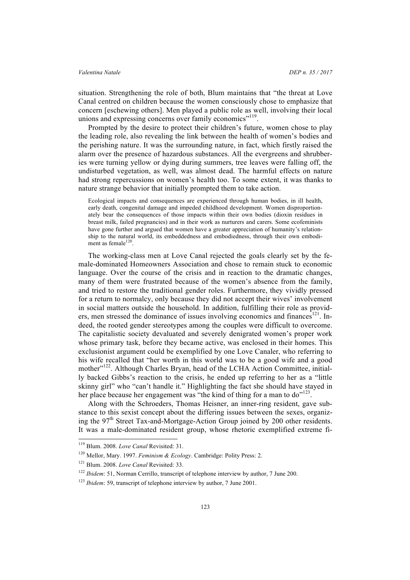situation. Strengthening the role of both, Blum maintains that "the threat at Love Canal centred on children because the women consciously chose to emphasize that concern [eschewing others]. Men played a public role as well, involving their local unions and expressing concerns over family economics"<sup>119</sup>.

Prompted by the desire to protect their children's future, women chose to play the leading role, also revealing the link between the health of women's bodies and the perishing nature. It was the surrounding nature, in fact, which firstly raised the alarm over the presence of hazardous substances. All the evergreens and shrubberies were turning yellow or dying during summers, tree leaves were falling off, the undisturbed vegetation, as well, was almost dead. The harmful effects on nature had strong repercussions on women's health too. To some extent, it was thanks to nature strange behavior that initially prompted them to take action.

Ecological impacts and consequences are experienced through human bodies, in ill health, early death, congenital damage and impeded childhood development. Women disproportionately bear the consequences of those impacts within their own bodies (dioxin residues in breast milk, failed pregnancies) and in their work as nurturers and carers. Some ecofeminists have gone further and argued that women have a greater appreciation of humanity's relationship to the natural world, its embeddedness and embodiedness, through their own embodiment as female $120$ 

The working-class men at Love Canal rejected the goals clearly set by the female-dominated Homeowners Association and chose to remain stuck to economic language. Over the course of the crisis and in reaction to the dramatic changes, many of them were frustrated because of the women's absence from the family, and tried to restore the traditional gender roles. Furthermore, they vividly pressed for a return to normalcy, only because they did not accept their wives' involvement in social matters outside the household. In addition, fulfilling their role as providers, men stressed the dominance of issues involving economics and finances<sup>121</sup>. Indeed, the rooted gender stereotypes among the couples were difficult to overcome. The capitalistic society devaluated and severely denigrated women's proper work whose primary task, before they became active, was enclosed in their homes. This exclusionist argument could be exemplified by one Love Canaler, who referring to his wife recalled that "her worth in this world was to be a good wife and a good mother"<sup>122</sup>. Although Charles Bryan, head of the LCHA Action Committee, initially backed Gibbs's reaction to the crisis, he ended up referring to her as a "little skinny girl" who "can't handle it." Highlighting the fact she should have stayed in her place because her engagement was "the kind of thing for a man to do"<sup>123</sup>.

Along with the Schroeders, Thomas Heisner, an inner-ring resident, gave substance to this sexist concept about the differing issues between the sexes, organizing the  $97<sup>th</sup>$  Street Tax-and-Mortgage-Action Group joined by 200 other residents. It was a male-dominated resident group, whose rhetoric exemplified extreme fi-

 <sup>119</sup> Blum. 2008. *Love Canal* Revisited: 31.

<sup>120</sup> Mellor, Mary. 1997. *Feminism & Ecology*. Cambridge: Polity Press: 2.

<sup>121</sup> Blum. 2008. *Love Canal* Revisited: 33.

<sup>&</sup>lt;sup>122</sup> *Ibidem*: 51, Norman Cerrillo, transcript of telephone interview by author, 7 June 200.

<sup>123</sup> *Ibidem*: 59, transcript of telephone interview by author, 7 June 2001.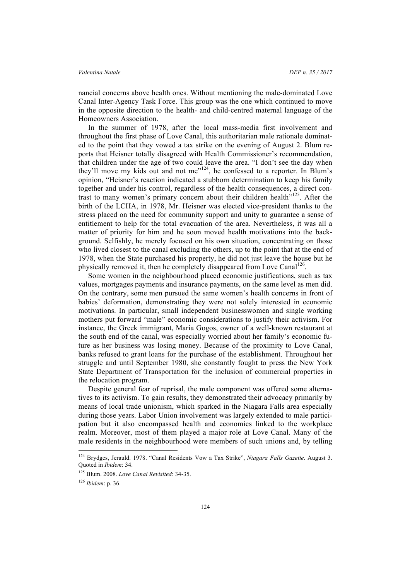### *Valentina Natale DEP n. 35 / 2017*

nancial concerns above health ones. Without mentioning the male-dominated Love Canal Inter-Agency Task Force. This group was the one which continued to move in the opposite direction to the health- and child-centred maternal language of the Homeowners Association.

In the summer of 1978, after the local mass-media first involvement and throughout the first phase of Love Canal, this authoritarian male rationale dominated to the point that they vowed a tax strike on the evening of August 2. Blum reports that Heisner totally disagreed with Health Commissioner's recommendation, that children under the age of two could leave the area. "I don't see the day when they'll move my kids out and not me"<sup>124</sup>, he confessed to a reporter. In Blum's opinion, "Heisner's reaction indicated a stubborn determination to keep his family together and under his control, regardless of the health consequences, a direct contrast to many women's primary concern about their children health $125$ . After the birth of the LCHA, in 1978, Mr. Heisner was elected vice-president thanks to the stress placed on the need for community support and unity to guarantee a sense of entitlement to help for the total evacuation of the area. Nevertheless, it was all a matter of priority for him and he soon moved health motivations into the background. Selfishly, he merely focused on his own situation, concentrating on those who lived closest to the canal excluding the others, up to the point that at the end of 1978, when the State purchased his property, he did not just leave the house but he physically removed it, then he completely disappeared from Love Canal<sup>126</sup>.

Some women in the neighbourhood placed economic justifications, such as tax values, mortgages payments and insurance payments, on the same level as men did. On the contrary, some men pursued the same women's health concerns in front of babies' deformation, demonstrating they were not solely interested in economic motivations. In particular, small independent businesswomen and single working mothers put forward "male" economic considerations to justify their activism. For instance, the Greek immigrant, Maria Gogos, owner of a well-known restaurant at the south end of the canal, was especially worried about her family's economic future as her business was losing money. Because of the proximity to Love Canal, banks refused to grant loans for the purchase of the establishment. Throughout her struggle and until September 1980, she constantly fought to press the New York State Department of Transportation for the inclusion of commercial properties in the relocation program.

Despite general fear of reprisal, the male component was offered some alternatives to its activism. To gain results, they demonstrated their advocacy primarily by means of local trade unionism, which sparked in the Niagara Falls area especially during those years. Labor Union involvement was largely extended to male participation but it also encompassed health and economics linked to the workplace realm. Moreover, most of them played a major role at Love Canal. Many of the male residents in the neighbourhood were members of such unions and, by telling

 <sup>124</sup> Brydges, Jerauld. 1978. "Canal Residents Vow a Tax Strike", *Niagara Falls Gazette*. August 3. Quoted in *Ibidem*: 34.

<sup>125</sup> Blum. 2008. *Love Canal Revisited*: 34-35.

<sup>126</sup> *Ibidem*: p. 36.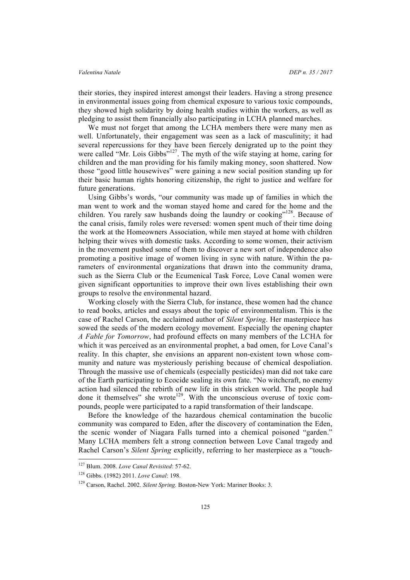their stories, they inspired interest amongst their leaders. Having a strong presence in environmental issues going from chemical exposure to various toxic compounds, they showed high solidarity by doing health studies within the workers, as well as pledging to assist them financially also participating in LCHA planned marches.

We must not forget that among the LCHA members there were many men as well. Unfortunately, their engagement was seen as a lack of masculinity; it had several repercussions for they have been fiercely denigrated up to the point they were called "Mr. Lois Gibbs"<sup>127</sup>. The myth of the wife staying at home, caring for children and the man providing for his family making money, soon shattered. Now those "good little housewives" were gaining a new social position standing up for their basic human rights honoring citizenship, the right to justice and welfare for future generations.

Using Gibbs's words, "our community was made up of families in which the man went to work and the woman stayed home and cared for the home and the children. You rarely saw husbands doing the laundry or cooking"<sup>128</sup>. Because of the canal crisis, family roles were reversed: women spent much of their time doing the work at the Homeowners Association, while men stayed at home with children helping their wives with domestic tasks. According to some women, their activism in the movement pushed some of them to discover a new sort of independence also promoting a positive image of women living in sync with nature. Within the parameters of environmental organizations that drawn into the community drama, such as the Sierra Club or the Ecumenical Task Force, Love Canal women were given significant opportunities to improve their own lives establishing their own groups to resolve the environmental hazard.

Working closely with the Sierra Club, for instance, these women had the chance to read books, articles and essays about the topic of environmentalism. This is the case of Rachel Carson, the acclaimed author of *Silent Spring*. Her masterpiece has sowed the seeds of the modern ecology movement. Especially the opening chapter *A Fable for Tomorrow*, had profound effects on many members of the LCHA for which it was perceived as an environmental prophet, a bad omen, for Love Canal's reality. In this chapter, she envisions an apparent non-existent town whose community and nature was mysteriously perishing because of chemical despoliation. Through the massive use of chemicals (especially pesticides) man did not take care of the Earth participating to Ecocide sealing its own fate. "No witchcraft, no enemy action had silenced the rebirth of new life in this stricken world. The people had done it themselves" she wrote<sup>129</sup>. With the unconscious overuse of toxic compounds, people were participated to a rapid transformation of their landscape.

Before the knowledge of the hazardous chemical contamination the bucolic community was compared to Eden, after the discovery of contamination the Eden, the scenic wonder of Niagara Falls turned into a chemical poisoned "garden." Many LCHA members felt a strong connection between Love Canal tragedy and Rachel Carson's *Silent Spring* explicitly, referring to her masterpiece as a "touch-

 <sup>127</sup> Blum. 2008. *Love Canal Revisited*: 57-62.

<sup>128</sup> Gibbs. (1982) 2011. *Love Canal*: 198.

<sup>&</sup>lt;sup>129</sup> Carson, Rachel. 2002. *Silent Spring*. Boston-New York: Mariner Books: 3.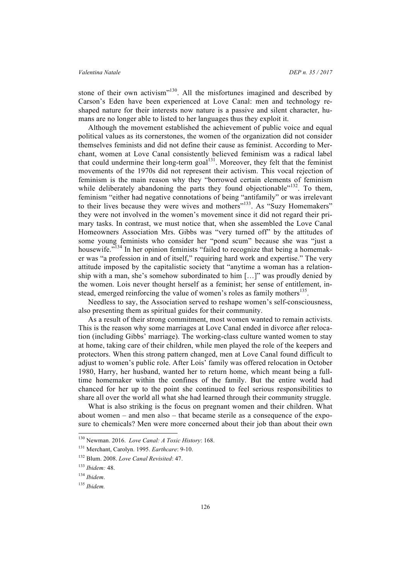stone of their own activism"<sup>130</sup>. All the misfortunes imagined and described by Carson's Eden have been experienced at Love Canal: men and technology reshaped nature for their interests now nature is a passive and silent character, humans are no longer able to listed to her languages thus they exploit it.

Although the movement established the achievement of public voice and equal political values as its cornerstones, the women of the organization did not consider themselves feminists and did not define their cause as feminist. According to Merchant, women at Love Canal consistently believed feminism was a radical label that could undermine their long-term goal<sup>131</sup>. Moreover, they felt that the feminist movements of the 1970s did not represent their activism. This vocal rejection of feminism is the main reason why they "borrowed certain elements of feminism while deliberately abandoning the parts they found objectionable"<sup>132</sup>. To them, feminism "either had negative connotations of being "antifamily" or was irrelevant to their lives because they were wives and mothers"<sup>133</sup>. As "Suzy Homemakers" they were not involved in the women's movement since it did not regard their primary tasks. In contrast, we must notice that, when she assembled the Love Canal Homeowners Association Mrs. Gibbs was "very turned off" by the attitudes of some young feminists who consider her "pond scum" because she was "just a housewife."<sup>134</sup> In her opinion feminists "failed to recognize that being a homemaker was "a profession in and of itself," requiring hard work and expertise." The very attitude imposed by the capitalistic society that "anytime a woman has a relationship with a man, she's somehow subordinated to him […]" was proudly denied by the women. Lois never thought herself as a feminist; her sense of entitlement, instead, emerged reinforcing the value of women's roles as family mothers<sup>135</sup>.

Needless to say, the Association served to reshape women's self-consciousness, also presenting them as spiritual guides for their community.

As a result of their strong commitment, most women wanted to remain activists. This is the reason why some marriages at Love Canal ended in divorce after relocation (including Gibbs' marriage). The working-class culture wanted women to stay at home, taking care of their children, while men played the role of the keepers and protectors. When this strong pattern changed, men at Love Canal found difficult to adjust to women's public role. After Lois' family was offered relocation in October 1980, Harry, her husband, wanted her to return home, which meant being a fulltime homemaker within the confines of the family. But the entire world had chanced for her up to the point she continued to feel serious responsibilities to share all over the world all what she had learned through their community struggle.

What is also striking is the focus on pregnant women and their children. What about women – and men also – that became sterile as a consequence of the exposure to chemicals? Men were more concerned about their job than about their own

 <sup>130</sup> Newman. 2016. *Love Canal: A Toxic History*: 168.

<sup>131</sup> Merchant, Carolyn. 1995. *Earthcare*: 9-10.

<sup>132</sup> Blum. 2008. *Love Canal Revisited*: 47.

<sup>133</sup> *Ibidem:* 48.

<sup>134</sup> *Ibidem*.

<sup>135</sup> *Ibidem.*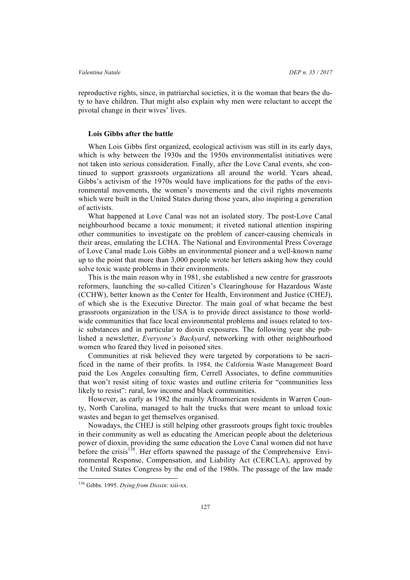reproductive rights, since, in patriarchal societies, it is the woman that bears the duty to have children. That might also explain why men were reluctant to accept the pivotal change in their wives' lives.

### **Lois Gibbs after the battle**

When Lois Gibbs first organized, ecological activism was still in its early days, which is why between the 1930s and the 1950s environmentalist initiatives were not taken into serious consideration. Finally, after the Love Canal events, she continued to support grassroots organizations all around the world. Years ahead, Gibbs's activism of the 1970s would have implications for the paths of the environmental movements, the women's movements and the civil rights movements which were built in the United States during those years, also inspiring a generation of activists.

What happened at Love Canal was not an isolated story. The post-Love Canal neighbourhood became a toxic monument; it riveted national attention inspiring other communities to investigate on the problem of cancer-causing chemicals in their areas, emulating the LCHA. The National and Environmental Press Coverage of Love Canal made Lois Gibbs an environmental pioneer and a well-known name up to the point that more than 3,000 people wrote her letters asking how they could solve toxic waste problems in their environments.

This is the main reason why in 1981, she established a new centre for grassroots reformers, launching the so-called Citizen's Clearinghouse for Hazardous Waste (CCHW), better known as the Center for Health, Environment and Justice (CHEJ), of which she is the Executive Director. The main goal of what became the best grassroots organization in the USA is to provide direct assistance to those worldwide communities that face local environmental problems and issues related to toxic substances and in particular to dioxin exposures. The following year she published a newsletter, *Everyone's Backyard*, networking with other neighbourhood women who feared they lived in poisoned sites.

Communities at risk believed they were targeted by corporations to be sacrificed in the name of their profits. In 1984, the California Waste Management Board paid the Los Angeles consulting firm, Cerrell Associates, to define communities that won't resist siting of toxic wastes and outline criteria for "communities less likely to resist": rural, low income and black communities.

However, as early as 1982 the mainly Afroamerican residents in Warren County, North Carolina, managed to halt the trucks that were meant to unload toxic wastes and began to get themselves organised.

Nowadays, the CHEJ is still helping other grassroots groups fight toxic troubles in their community as well as educating the American people about the deleterious power of dioxin, providing the same education the Love Canal women did not have before the crisis<sup>136</sup>. Her efforts spawned the passage of the Comprehensive Environmental Response, Compensation, and Liability Act (CERCLA), approved by the United States Congress by the end of the 1980s. The passage of the law made

 <sup>136</sup> Gibbs. 1995. *Dying from Dioxin*: xiii-xx.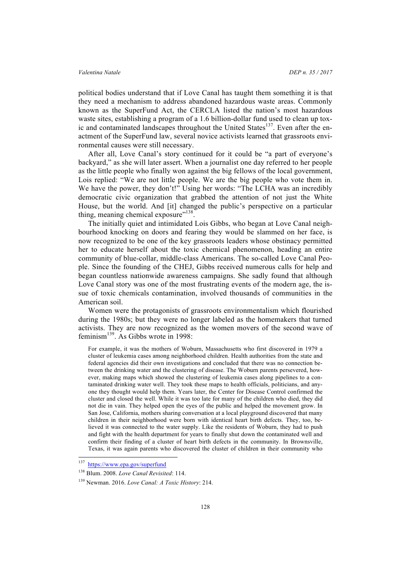political bodies understand that if Love Canal has taught them something it is that they need a mechanism to address abandoned hazardous waste areas. Commonly known as the SuperFund Act, the CERCLA listed the nation's most hazardous waste sites, establishing a program of a 1.6 billion-dollar fund used to clean up toxic and contaminated landscapes throughout the United States<sup>137</sup>. Even after the enactment of the SuperFund law, several novice activists learned that grassroots environmental causes were still necessary.

After all, Love Canal's story continued for it could be "a part of everyone's backyard," as she will later assert. When a journalist one day referred to her people as the little people who finally won against the big fellows of the local government, Lois replied: "We are not little people. We are the big people who vote them in. We have the power, they don't!" Using her words: "The LCHA was an incredibly democratic civic organization that grabbed the attention of not just the White House, but the world. And [it] changed the public's perspective on a particular thing, meaning chemical exposure"<sup>138</sup>.

The initially quiet and intimidated Lois Gibbs, who began at Love Canal neighbourhood knocking on doors and fearing they would be slammed on her face, is now recognized to be one of the key grassroots leaders whose obstinacy permitted her to educate herself about the toxic chemical phenomenon, heading an entire community of blue-collar, middle-class Americans. The so-called Love Canal People. Since the founding of the CHEJ, Gibbs received numerous calls for help and began countless nationwide awareness campaigns. She sadly found that although Love Canal story was one of the most frustrating events of the modern age, the issue of toxic chemicals contamination, involved thousands of communities in the American soil.

Women were the protagonists of grassroots environmentalism which flourished during the 1980s; but they were no longer labeled as the homemakers that turned activists. They are now recognized as the women movers of the second wave of feminism139. As Gibbs wrote in 1998:

For example, it was the mothers of Woburn, Massachusetts who first discovered in 1979 a cluster of leukemia cases among neighborhood children. Health authorities from the state and federal agencies did their own investigations and concluded that there was no connection between the drinking water and the clustering of disease. The Woburn parents persevered, however, making maps which showed the clustering of leukemia cases along pipelines to a contaminated drinking water well. They took these maps to health officials, politicians, and anyone they thought would help them. Years later, the Center for Disease Control confirmed the cluster and closed the well. While it was too late for many of the children who died, they did not die in vain. They helped open the eyes of the public and helped the movement grow. In San Jose, California, mothers sharing conversation at a local playground discovered that many children in their neighborhood were born with identical heart birth defects. They, too, believed it was connected to the water supply. Like the residents of Woburn, they had to push and fight with the health department for years to finally shut down the contaminated well and confirm their finding of a cluster of heart birth defects in the community. In Brownsville, Texas, it was again parents who discovered the cluster of children in their community who

 <sup>137</sup> https://www.epa.gov/superfund

<sup>138</sup> Blum. 2008. *Love Canal Revisited*: 114.

<sup>139</sup> Newman. 2016. *Love Canal: A Toxic History*: 214.